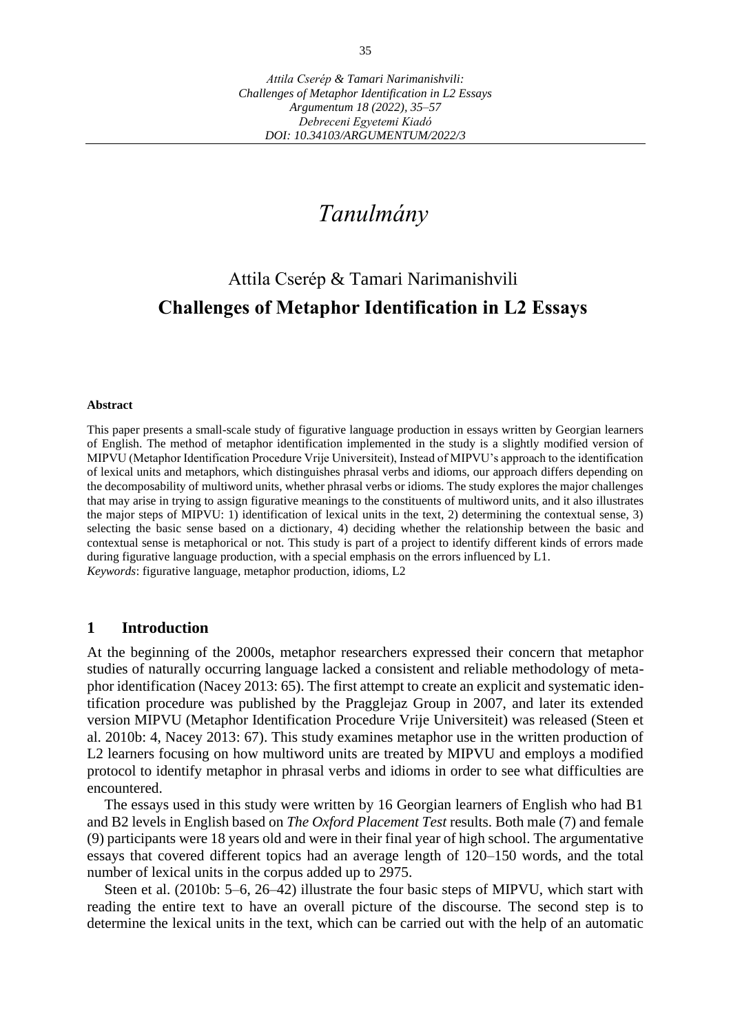# *Tanulmány*

# Attila Cserép & Tamari Narimanishvili **Challenges of Metaphor Identification in L2 Essays**

#### **Abstract**

This paper presents a small-scale study of figurative language production in essays written by Georgian learners of English. The method of metaphor identification implemented in the study is a slightly modified version of MIPVU (Metaphor Identification Procedure Vrije Universiteit), Instead of MIPVU's approach to the identification of lexical units and metaphors, which distinguishes phrasal verbs and idioms, our approach differs depending on the decomposability of multiword units, whether phrasal verbs or idioms. The study explores the major challenges that may arise in trying to assign figurative meanings to the constituents of multiword units, and it also illustrates the major steps of MIPVU: 1) identification of lexical units in the text, 2) determining the contextual sense, 3) selecting the basic sense based on a dictionary, 4) deciding whether the relationship between the basic and contextual sense is metaphorical or not. This study is part of a project to identify different kinds of errors made during figurative language production, with a special emphasis on the errors influenced by L1. *Keywords*: figurative language, metaphor production, idioms, L2

### **1 Introduction**

At the beginning of the 2000s, metaphor researchers expressed their concern that metaphor studies of naturally occurring language lacked a consistent and reliable methodology of metaphor identification (Nacey 2013: 65). The first attempt to create an explicit and systematic identification procedure was published by the Pragglejaz Group in 2007, and later its extended version MIPVU (Metaphor Identification Procedure Vrije Universiteit) was released (Steen et al. 2010b: 4, Nacey 2013: 67). This study examines metaphor use in the written production of L2 learners focusing on how multiword units are treated by MIPVU and employs a modified protocol to identify metaphor in phrasal verbs and idioms in order to see what difficulties are encountered.

The essays used in this study were written by 16 Georgian learners of English who had B1 and B2 levels in English based on *The Oxford Placement Test* results. Both male (7) and female (9) participants were 18 years old and were in their final year of high school. The argumentative essays that covered different topics had an average length of 120–150 words, and the total number of lexical units in the corpus added up to 2975.

Steen et al. (2010b: 5–6, 26–42) illustrate the four basic steps of MIPVU, which start with reading the entire text to have an overall picture of the discourse. The second step is to determine the lexical units in the text, which can be carried out with the help of an automatic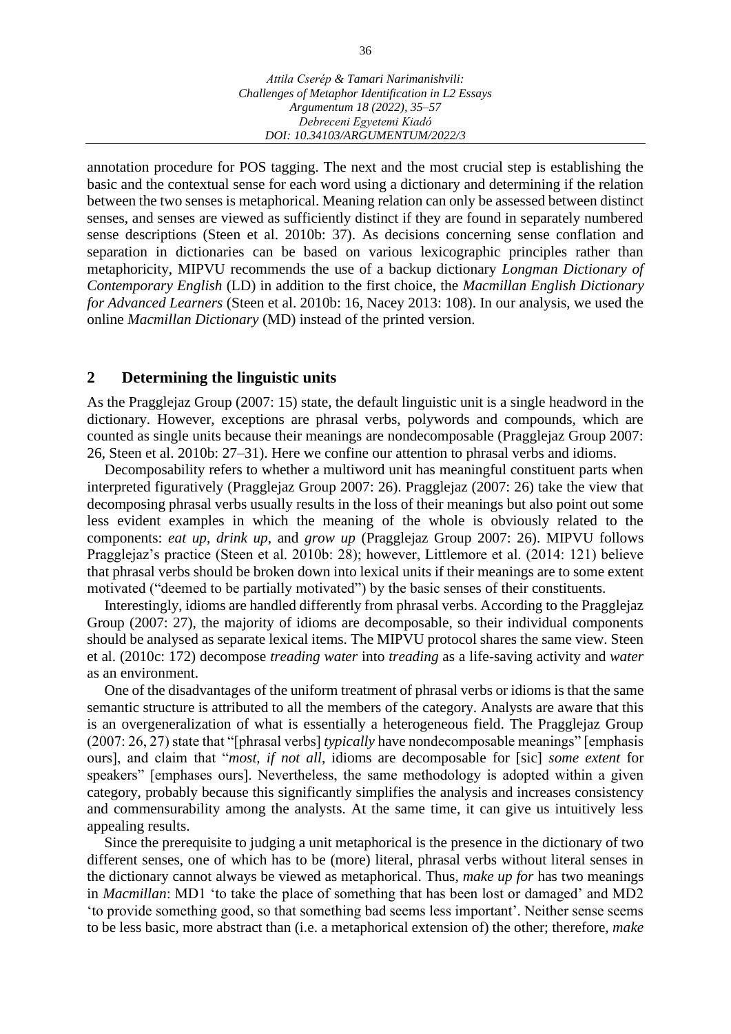annotation procedure for POS tagging. The next and the most crucial step is establishing the basic and the contextual sense for each word using a dictionary and determining if the relation between the two senses is metaphorical. Meaning relation can only be assessed between distinct senses, and senses are viewed as sufficiently distinct if they are found in separately numbered sense descriptions (Steen et al. 2010b: 37). As decisions concerning sense conflation and separation in dictionaries can be based on various lexicographic principles rather than metaphoricity, MIPVU recommends the use of a backup dictionary *Longman Dictionary of Contemporary English* (LD) in addition to the first choice, the *Macmillan English Dictionary for Advanced Learners* (Steen et al. 2010b: 16, Nacey 2013: 108). In our analysis, we used the online *Macmillan Dictionary* (MD) instead of the printed version.

#### **2 Determining the linguistic units**

As the Pragglejaz Group (2007: 15) state, the default linguistic unit is a single headword in the dictionary. However, exceptions are phrasal verbs, polywords and compounds, which are counted as single units because their meanings are nondecomposable (Pragglejaz Group 2007: 26, Steen et al. 2010b: 27–31). Here we confine our attention to phrasal verbs and idioms.

Decomposability refers to whether a multiword unit has meaningful constituent parts when interpreted figuratively (Pragglejaz Group 2007: 26). Pragglejaz (2007: 26) take the view that decomposing phrasal verbs usually results in the loss of their meanings but also point out some less evident examples in which the meaning of the whole is obviously related to the components: *eat up*, *drink up*, and *grow up* (Pragglejaz Group 2007: 26). MIPVU follows Pragglejaz's practice (Steen et al. 2010b: 28); however, Littlemore et al. (2014: 121) believe that phrasal verbs should be broken down into lexical units if their meanings are to some extent motivated ("deemed to be partially motivated") by the basic senses of their constituents.

Interestingly, idioms are handled differently from phrasal verbs. According to the Pragglejaz Group (2007: 27), the majority of idioms are decomposable, so their individual components should be analysed as separate lexical items. The MIPVU protocol shares the same view. Steen et al. (2010c: 172) decompose *treading water* into *treading* as a life-saving activity and *water* as an environment.

One of the disadvantages of the uniform treatment of phrasal verbs or idioms is that the same semantic structure is attributed to all the members of the category. Analysts are aware that this is an overgeneralization of what is essentially a heterogeneous field. The Pragglejaz Group (2007: 26, 27) state that "[phrasal verbs] *typically* have nondecomposable meanings" [emphasis ours], and claim that "*most, if not all*, idioms are decomposable for [sic] *some extent* for speakers" [emphases ours]. Nevertheless, the same methodology is adopted within a given category, probably because this significantly simplifies the analysis and increases consistency and commensurability among the analysts. At the same time, it can give us intuitively less appealing results.

Since the prerequisite to judging a unit metaphorical is the presence in the dictionary of two different senses, one of which has to be (more) literal, phrasal verbs without literal senses in the dictionary cannot always be viewed as metaphorical. Thus, *make up for* has two meanings in *Macmillan*: MD1 'to take the place of something that has been lost or damaged' and MD2 'to provide something good, so that something bad seems less important'. Neither sense seems to be less basic, more abstract than (i.e. a metaphorical extension of) the other; therefore, *make*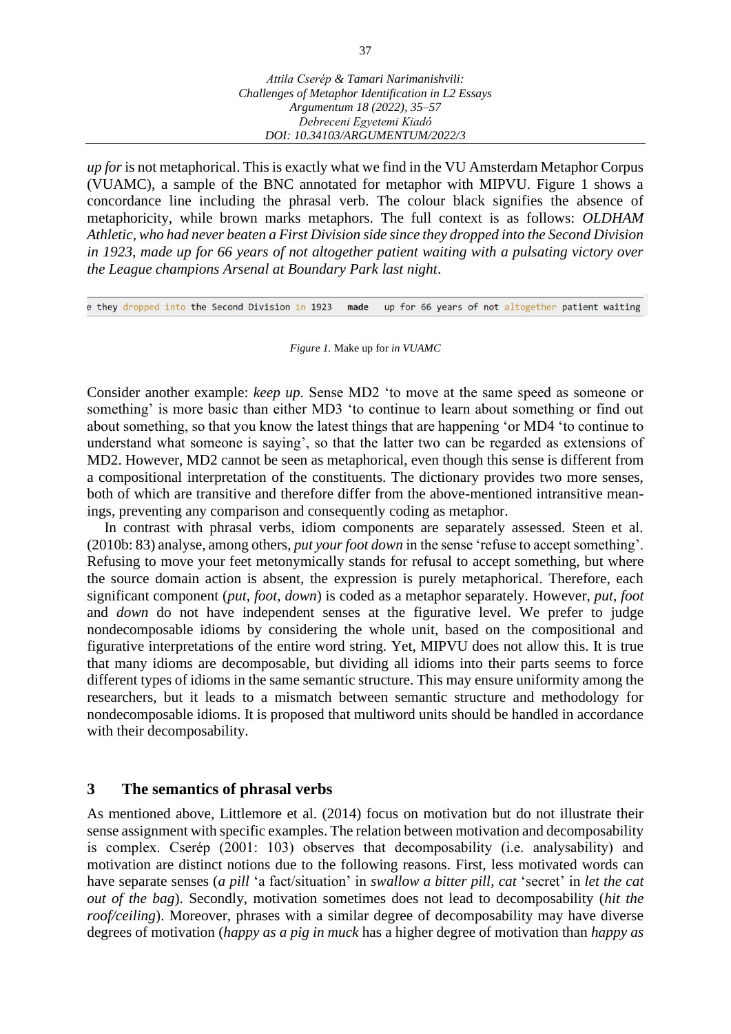*up for* is not metaphorical. This is exactly what we find in the VU Amsterdam Metaphor Corpus (VUAMC), a sample of the BNC annotated for metaphor with MIPVU. Figure 1 shows a concordance line including the phrasal verb. The colour black signifies the absence of metaphoricity, while brown marks metaphors. The full context is as follows: *OLDHAM Athletic, who had never beaten a First Division side since they dropped into the Second Division in 1923, made up for 66 years of not altogether patient waiting with a pulsating victory over the League champions Arsenal at Boundary Park last night*.

e they dropped into the Second Division in 1923 up for 66 years of not altogether patient waiting made

#### *Figure 1.* Make up for *in VUAMC*

Consider another example: *keep up*. Sense MD2 'to move at the same speed as someone or something' is more basic than either MD3 'to continue to learn about something or find out about something, so that you know the latest things that are happening 'or MD4 'to continue to understand what someone is saying', so that the latter two can be regarded as extensions of MD2. However, MD2 cannot be seen as metaphorical, even though this sense is different from a compositional interpretation of the constituents. The dictionary provides two more senses, both of which are transitive and therefore differ from the above-mentioned intransitive meanings, preventing any comparison and consequently coding as metaphor.

In contrast with phrasal verbs, idiom components are separately assessed. Steen et al. (2010b: 83) analyse, among others, *put your foot down* in the sense 'refuse to accept something'. Refusing to move your feet metonymically stands for refusal to accept something, but where the source domain action is absent, the expression is purely metaphorical. Therefore, each significant component (*put*, *foot*, *down*) is coded as a metaphor separately. However, *put*, *foot* and *down* do not have independent senses at the figurative level. We prefer to judge nondecomposable idioms by considering the whole unit, based on the compositional and figurative interpretations of the entire word string. Yet, MIPVU does not allow this. It is true that many idioms are decomposable, but dividing all idioms into their parts seems to force different types of idioms in the same semantic structure. This may ensure uniformity among the researchers, but it leads to a mismatch between semantic structure and methodology for nondecomposable idioms. It is proposed that multiword units should be handled in accordance with their decomposability.

#### **3 The semantics of phrasal verbs**

As mentioned above, Littlemore et al. (2014) focus on motivation but do not illustrate their sense assignment with specific examples. The relation between motivation and decomposability is complex. Cserép (2001: 103) observes that decomposability (i.e. analysability) and motivation are distinct notions due to the following reasons. First, less motivated words can have separate senses (*a pill* 'a fact/situation' in *swallow a bitter pill*, *cat* 'secret' in *let the cat out of the bag*). Secondly, motivation sometimes does not lead to decomposability (*hit the roof/ceiling*). Moreover, phrases with a similar degree of decomposability may have diverse degrees of motivation (*happy as a pig in muck* has a higher degree of motivation than *happy as*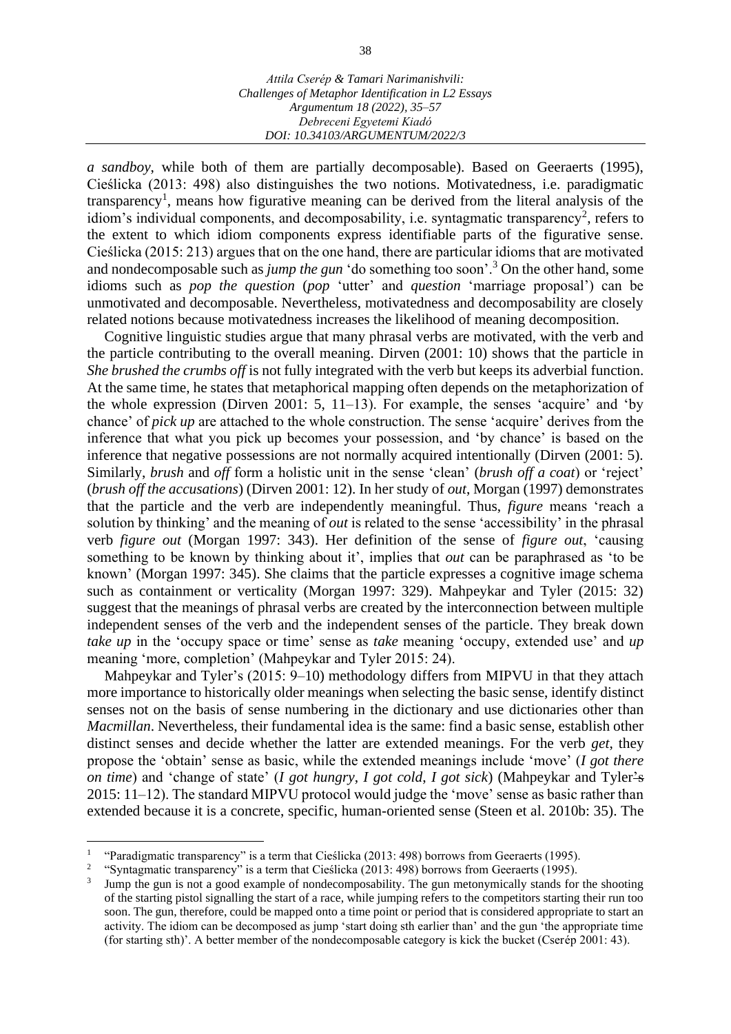*a sandboy*, while both of them are partially decomposable). Based on Geeraerts (1995), Cieślicka (2013: 498) also distinguishes the two notions. Motivatedness, i.e. paradigmatic transparency<sup>1</sup>, means how figurative meaning can be derived from the literal analysis of the idiom's individual components, and decomposability, i.e. syntagmatic transparency<sup>2</sup>, refers to the extent to which idiom components express identifiable parts of the figurative sense. Cieślicka (2015: 213) argues that on the one hand, there are particular idioms that are motivated and nondecomposable such as *jump the gun* 'do something too soon'.<sup>3</sup> On the other hand, some idioms such as *pop the question* (*pop* 'utter' and *question* 'marriage proposal') can be unmotivated and decomposable. Nevertheless, motivatedness and decomposability are closely related notions because motivatedness increases the likelihood of meaning decomposition.

Cognitive linguistic studies argue that many phrasal verbs are motivated, with the verb and the particle contributing to the overall meaning. Dirven (2001: 10) shows that the particle in *She brushed the crumbs off* is not fully integrated with the verb but keeps its adverbial function. At the same time, he states that metaphorical mapping often depends on the metaphorization of the whole expression (Dirven 2001: 5, 11–13). For example, the senses 'acquire' and 'by chance' of *pick up* are attached to the whole construction. The sense 'acquire' derives from the inference that what you pick up becomes your possession, and 'by chance' is based on the inference that negative possessions are not normally acquired intentionally (Dirven (2001: 5). Similarly, *brush* and *off* form a holistic unit in the sense 'clean' (*brush off a coat*) or 'reject' (*brush off the accusations*) (Dirven 2001: 12). In her study of *out*, Morgan (1997) demonstrates that the particle and the verb are independently meaningful. Thus, *figure* means 'reach a solution by thinking' and the meaning of *out* is related to the sense 'accessibility' in the phrasal verb *figure out* (Morgan 1997: 343). Her definition of the sense of *figure out*, 'causing something to be known by thinking about it', implies that *out* can be paraphrased as 'to be known' (Morgan 1997: 345). She claims that the particle expresses a cognitive image schema such as containment or verticality (Morgan 1997: 329). Mahpeykar and Tyler (2015: 32) suggest that the meanings of phrasal verbs are created by the interconnection between multiple independent senses of the verb and the independent senses of the particle. They break down *take up* in the 'occupy space or time' sense as *take* meaning 'occupy, extended use' and *up*  meaning 'more, completion' (Mahpeykar and Tyler 2015: 24).

Mahpeykar and Tyler's (2015: 9–10) methodology differs from MIPVU in that they attach more importance to historically older meanings when selecting the basic sense, identify distinct senses not on the basis of sense numbering in the dictionary and use dictionaries other than *Macmillan*. Nevertheless, their fundamental idea is the same: find a basic sense, establish other distinct senses and decide whether the latter are extended meanings. For the verb *get*, they propose the 'obtain' sense as basic, while the extended meanings include 'move' (*I got there on time*) and 'change of state' (*I got hungry*, *I got cold*, *I got sick*) (Mahpeykar and Tyler's 2015: 11–12). The standard MIPVU protocol would judge the 'move' sense as basic rather than extended because it is a concrete, specific, human-oriented sense (Steen et al. 2010b: 35). The

<sup>1</sup> "Paradigmatic transparency" is a term that Cieślicka (2013: 498) borrows from Geeraerts (1995).

<sup>2</sup> "Syntagmatic transparency" is a term that Cieślicka (2013: 498) borrows from Geeraerts (1995).

<sup>3</sup> Jump the gun is not a good example of nondecomposability. The gun metonymically stands for the shooting of the starting pistol signalling the start of a race, while jumping refers to the competitors starting their run too soon. The gun, therefore, could be mapped onto a time point or period that is considered appropriate to start an activity. The idiom can be decomposed as jump 'start doing sth earlier than' and the gun 'the appropriate time (for starting sth)'. A better member of the nondecomposable category is kick the bucket (Cserép 2001: 43).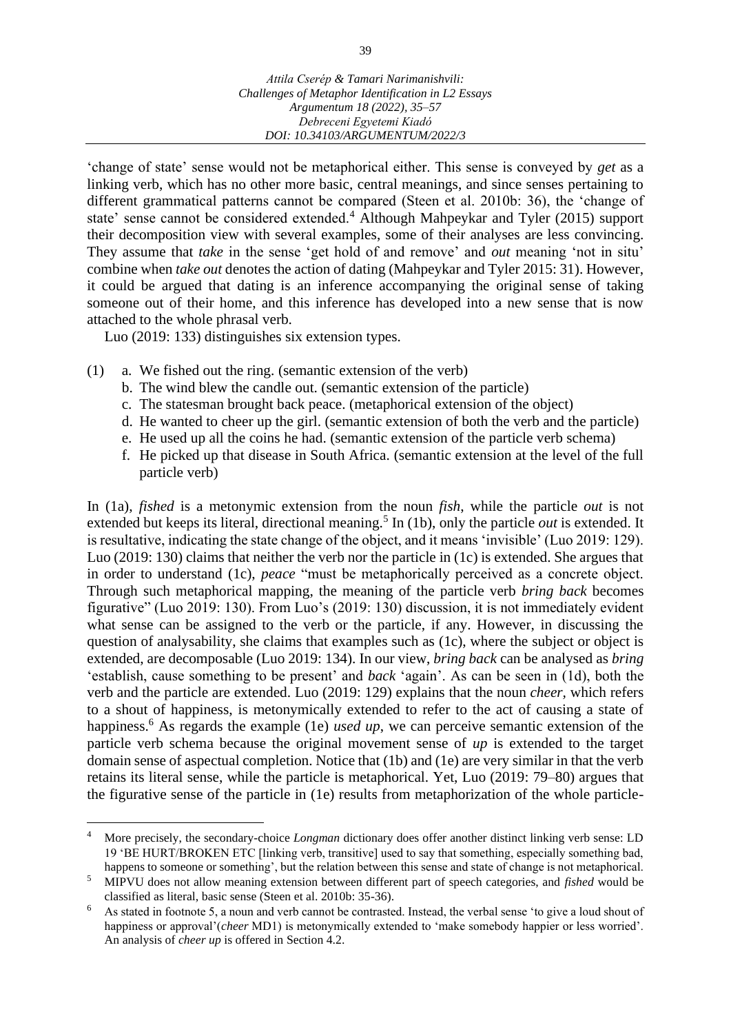'change of state' sense would not be metaphorical either. This sense is conveyed by *get* as a linking verb, which has no other more basic, central meanings, and since senses pertaining to different grammatical patterns cannot be compared (Steen et al. 2010b: 36), the 'change of state' sense cannot be considered extended.<sup>4</sup> Although Mahpeykar and Tyler (2015) support their decomposition view with several examples, some of their analyses are less convincing. They assume that *take* in the sense 'get hold of and remove' and *out* meaning 'not in situ' combine when *take out* denotes the action of dating (Mahpeykar and Tyler 2015: 31). However, it could be argued that dating is an inference accompanying the original sense of taking someone out of their home, and this inference has developed into a new sense that is now attached to the whole phrasal verb.

Luo (2019: 133) distinguishes six extension types.

- (1) a. We fished out the ring. (semantic extension of the verb)
	- b. The wind blew the candle out. (semantic extension of the particle)
	- c. The statesman brought back peace. (metaphorical extension of the object)
	- d. He wanted to cheer up the girl. (semantic extension of both the verb and the particle)
	- e. He used up all the coins he had. (semantic extension of the particle verb schema)
	- f. He picked up that disease in South Africa. (semantic extension at the level of the full particle verb)

In (1a), *fished* is a metonymic extension from the noun *fish*, while the particle *out* is not extended but keeps its literal, directional meaning.<sup>5</sup> In (1b), only the particle *out* is extended. It is resultative, indicating the state change of the object, and it means 'invisible' (Luo 2019: 129). Luo (2019: 130) claims that neither the verb nor the particle in (1c) is extended. She argues that in order to understand (1c), *peace* "must be metaphorically perceived as a concrete object. Through such metaphorical mapping, the meaning of the particle verb *bring back* becomes figurative" (Luo 2019: 130). From Luo's (2019: 130) discussion, it is not immediately evident what sense can be assigned to the verb or the particle, if any. However, in discussing the question of analysability, she claims that examples such as (1c), where the subject or object is extended, are decomposable (Luo 2019: 134). In our view, *bring back* can be analysed as *bring*  'establish, cause something to be present' and *back* 'again'. As can be seen in (1d), both the verb and the particle are extended. Luo (2019: 129) explains that the noun *cheer,* which refers to a shout of happiness, is metonymically extended to refer to the act of causing a state of happiness.<sup>6</sup> As regards the example (1e) *used up*, we can perceive semantic extension of the particle verb schema because the original movement sense of *up* is extended to the target domain sense of aspectual completion. Notice that (1b) and (1e) are very similar in that the verb retains its literal sense, while the particle is metaphorical. Yet, Luo (2019: 79–80) argues that the figurative sense of the particle in (1e) results from metaphorization of the whole particle-

<sup>4</sup> More precisely, the secondary-choice *Longman* dictionary does offer another distinct linking verb sense: LD 19 'BE HURT/BROKEN ETC [linking verb, transitive] used to say that something, especially something bad, happens to someone or something', but the relation between this sense and state of change is not metaphorical.

<sup>5</sup> MIPVU does not allow meaning extension between different part of speech categories, and *fished* would be classified as literal, basic sense (Steen et al. 2010b: 35-36).

<sup>6</sup> As stated in footnote 5, a noun and verb cannot be contrasted. Instead, the verbal sense 'to give a loud shout of happiness or approval'(*cheer* MD1) is metonymically extended to 'make somebody happier or less worried'. An analysis of *cheer up* is offered in Section 4.2.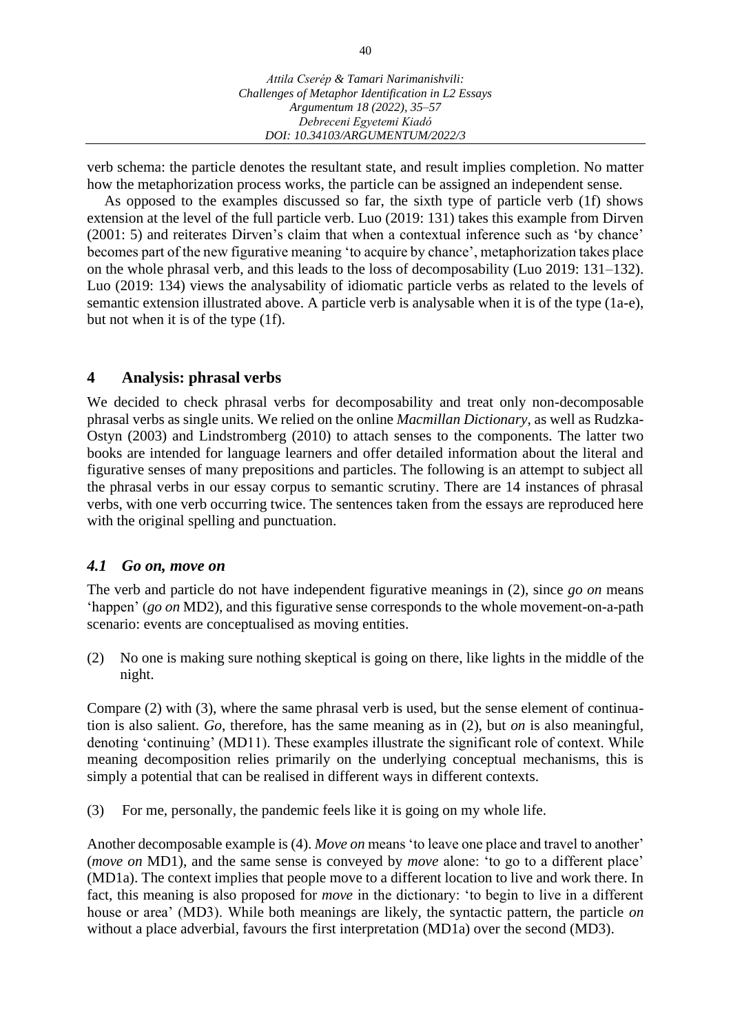verb schema: the particle denotes the resultant state, and result implies completion. No matter how the metaphorization process works, the particle can be assigned an independent sense.

As opposed to the examples discussed so far, the sixth type of particle verb (1f) shows extension at the level of the full particle verb. Luo (2019: 131) takes this example from Dirven (2001: 5) and reiterates Dirven's claim that when a contextual inference such as 'by chance' becomes part of the new figurative meaning 'to acquire by chance', metaphorization takes place on the whole phrasal verb, and this leads to the loss of decomposability (Luo 2019: 131–132). Luo (2019: 134) views the analysability of idiomatic particle verbs as related to the levels of semantic extension illustrated above. A particle verb is analysable when it is of the type (1a-e), but not when it is of the type (1f).

### **4 Analysis: phrasal verbs**

We decided to check phrasal verbs for decomposability and treat only non-decomposable phrasal verbs as single units. We relied on the online *Macmillan Dictionary*, as well as Rudzka-Ostyn (2003) and Lindstromberg (2010) to attach senses to the components. The latter two books are intended for language learners and offer detailed information about the literal and figurative senses of many prepositions and particles. The following is an attempt to subject all the phrasal verbs in our essay corpus to semantic scrutiny. There are 14 instances of phrasal verbs, with one verb occurring twice. The sentences taken from the essays are reproduced here with the original spelling and punctuation.

### *4.1 Go on, move on*

The verb and particle do not have independent figurative meanings in (2), since *go on* means 'happen' (*go on* MD2), and this figurative sense corresponds to the whole movement-on-a-path scenario: events are conceptualised as moving entities.

(2) No one is making sure nothing skeptical is going on there, like lights in the middle of the night.

Compare (2) with (3), where the same phrasal verb is used, but the sense element of continuation is also salient. *Go*, therefore, has the same meaning as in (2), but *on* is also meaningful, denoting 'continuing' (MD11). These examples illustrate the significant role of context. While meaning decomposition relies primarily on the underlying conceptual mechanisms, this is simply a potential that can be realised in different ways in different contexts.

(3) For me, personally, the pandemic feels like it is going on my whole life.

Another decomposable example is (4). *Move on* means 'to leave one place and travel to another' (*move on* MD1), and the same sense is conveyed by *move* alone: 'to go to a different place' (MD1a). The context implies that people move to a different location to live and work there. In fact, this meaning is also proposed for *move* in the dictionary: 'to begin to live in a different house or area' (MD3). While both meanings are likely, the syntactic pattern, the particle *on* without a place adverbial, favours the first interpretation (MD1a) over the second (MD3).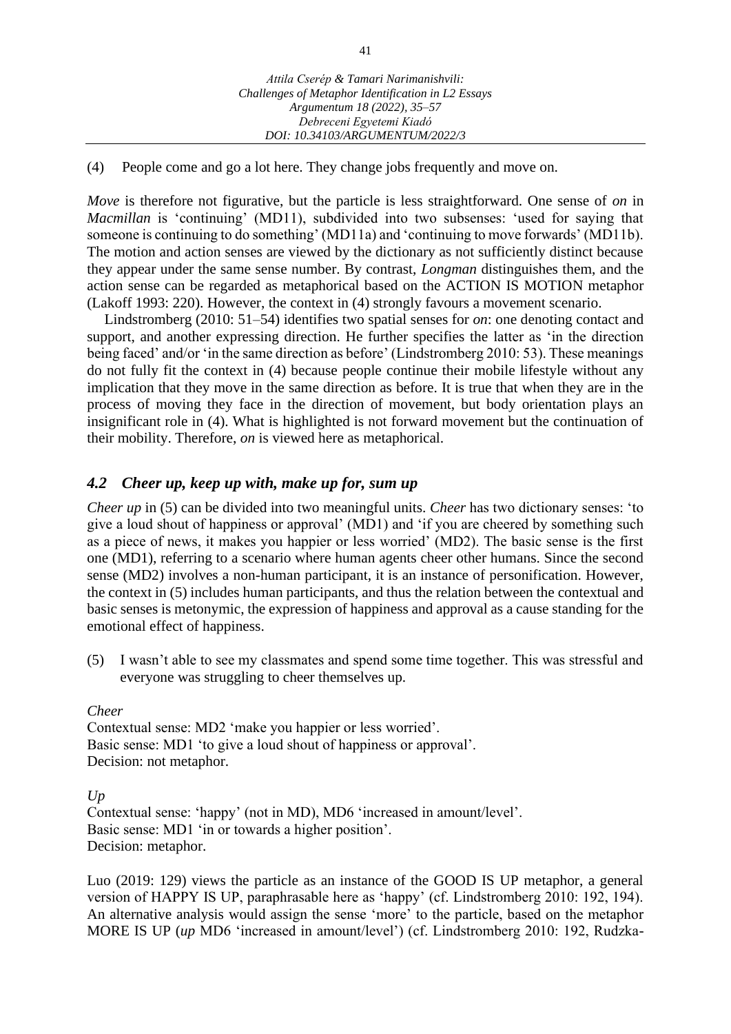### (4) People come and go a lot here. They change jobs frequently and move on.

*Move* is therefore not figurative, but the particle is less straightforward. One sense of *on* in *Macmillan* is 'continuing' (MD11), subdivided into two subsenses: 'used for saying that someone is continuing to do something' (MD11a) and 'continuing to move forwards' (MD11b). The motion and action senses are viewed by the dictionary as not sufficiently distinct because they appear under the same sense number. By contrast, *Longman* distinguishes them, and the action sense can be regarded as metaphorical based on the ACTION IS MOTION metaphor (Lakoff 1993: 220). However, the context in (4) strongly favours a movement scenario.

Lindstromberg (2010: 51–54) identifies two spatial senses for *on*: one denoting contact and support, and another expressing direction. He further specifies the latter as 'in the direction being faced' and/or 'in the same direction as before' (Lindstromberg 2010: 53). These meanings do not fully fit the context in (4) because people continue their mobile lifestyle without any implication that they move in the same direction as before. It is true that when they are in the process of moving they face in the direction of movement, but body orientation plays an insignificant role in (4). What is highlighted is not forward movement but the continuation of their mobility. Therefore, *on* is viewed here as metaphorical.

### *4.2 Cheer up, keep up with, make up for, sum up*

*Cheer up* in (5) can be divided into two meaningful units. *Cheer* has two dictionary senses: 'to give a loud shout of happiness or approval' (MD1) and 'if you are cheered by something such as a piece of news, it makes you happier or less worried' (MD2). The basic sense is the first one (MD1), referring to a scenario where human agents cheer other humans. Since the second sense (MD2) involves a non-human participant, it is an instance of personification. However, the context in (5) includes human participants, and thus the relation between the contextual and basic senses is metonymic, the expression of happiness and approval as a cause standing for the emotional effect of happiness.

(5) I wasn't able to see my classmates and spend some time together. This was stressful and everyone was struggling to cheer themselves up.

*Cheer*

Contextual sense: MD2 'make you happier or less worried'. Basic sense: MD1 'to give a loud shout of happiness or approval'. Decision: not metaphor.

*Up*

Contextual sense: 'happy' (not in MD), MD6 'increased in amount/level'. Basic sense: MD1 'in or towards a higher position'. Decision: metaphor.

Luo (2019: 129) views the particle as an instance of the GOOD IS UP metaphor, a general version of HAPPY IS UP, paraphrasable here as 'happy' (cf. Lindstromberg 2010: 192, 194). An alternative analysis would assign the sense 'more' to the particle, based on the metaphor MORE IS UP (*up* MD6 'increased in amount/level') (cf. Lindstromberg 2010: 192, Rudzka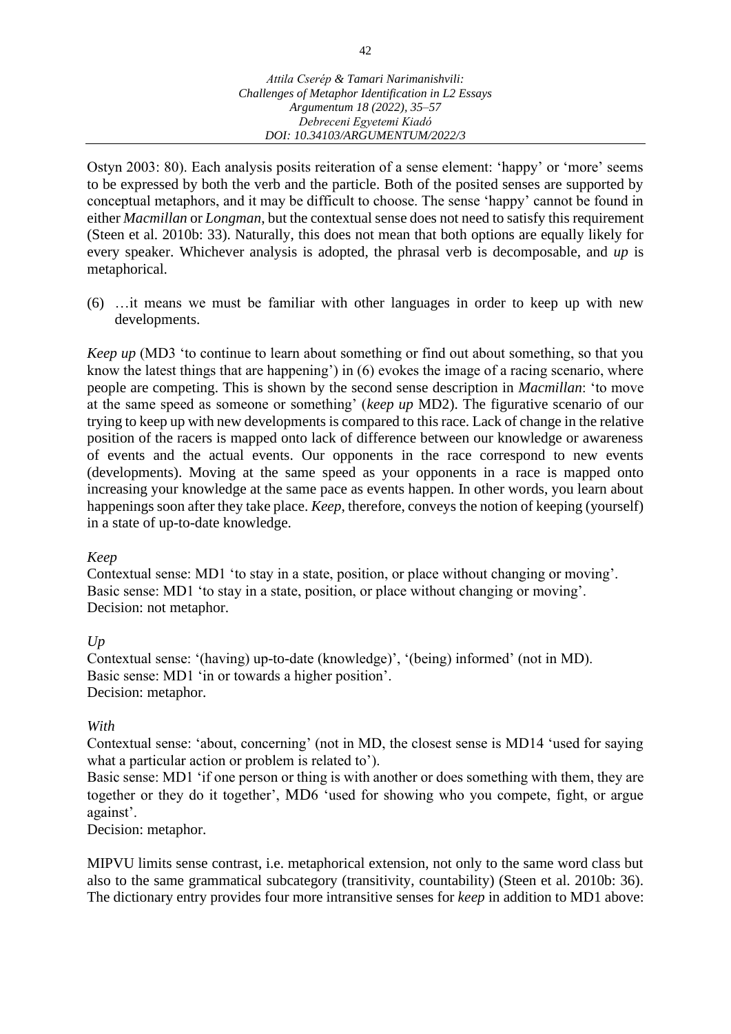Ostyn 2003: 80). Each analysis posits reiteration of a sense element: 'happy' or 'more' seems to be expressed by both the verb and the particle. Both of the posited senses are supported by conceptual metaphors, and it may be difficult to choose. The sense 'happy' cannot be found in either *Macmillan* or *Longman*, but the contextual sense does not need to satisfy this requirement (Steen et al. 2010b: 33). Naturally, this does not mean that both options are equally likely for every speaker. Whichever analysis is adopted, the phrasal verb is decomposable, and *up* is metaphorical.

(6) …it means we must be familiar with other languages in order to keep up with new developments.

*Keep up* (MD3 'to continue to learn about something or find out about something, so that you know the latest things that are happening') in (6) evokes the image of a racing scenario, where people are competing. This is shown by the second sense description in *Macmillan*: 'to move at the same speed as someone or something' (*keep up* MD2). The figurative scenario of our trying to keep up with new developments is compared to this race. Lack of change in the relative position of the racers is mapped onto lack of difference between our knowledge or awareness of events and the actual events. Our opponents in the race correspond to new events (developments). Moving at the same speed as your opponents in a race is mapped onto increasing your knowledge at the same pace as events happen. In other words, you learn about happenings soon after they take place. *Keep*, therefore, conveys the notion of keeping (yourself) in a state of up-to-date knowledge.

### *Keep*

Contextual sense: MD1 'to stay in a state, position, or place without changing or moving'. Basic sense: MD1 'to stay in a state, position, or place without changing or moving'. Decision: not metaphor.

### *Up*

Contextual sense: '(having) up-to-date (knowledge)', '(being) informed' (not in MD). Basic sense: MD1 'in or towards a higher position'. Decision: metaphor.

### *With*

Contextual sense: 'about, concerning' (not in MD, the closest sense is MD14 'used for saying what a particular action or problem is related to').

Basic sense: MD1 'if one person or thing is with another or does something with them, they are together or they do it together', MD6 'used for showing who you compete, fight, or argue against'.

Decision: metaphor.

MIPVU limits sense contrast, i.e. metaphorical extension, not only to the same word class but also to the same grammatical subcategory (transitivity, countability) (Steen et al. 2010b: 36). The dictionary entry provides four more intransitive senses for *keep* in addition to MD1 above: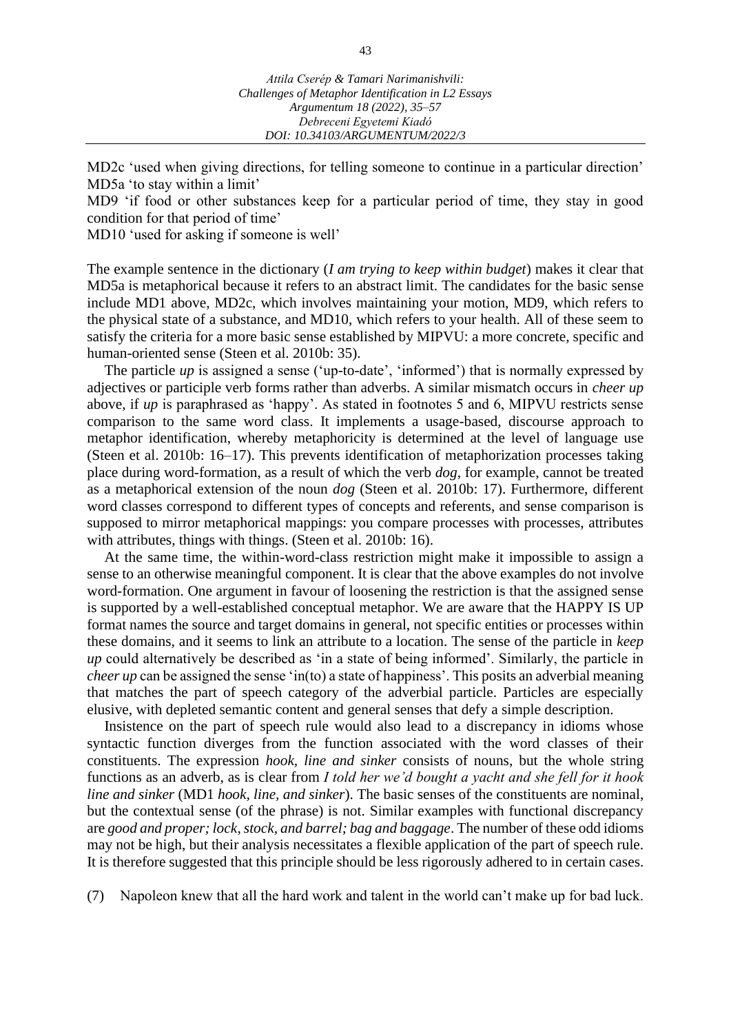MD2c 'used when giving directions, for telling someone to continue in a particular direction' MD5a 'to stay within a limit'

MD9 'if food or other substances keep for a particular period of time, they stay in good condition for that period of time'

MD10 'used for asking if someone is well'

The example sentence in the dictionary (*I am trying to keep within budget*) makes it clear that MD5a is metaphorical because it refers to an abstract limit. The candidates for the basic sense include MD1 above, MD2c, which involves maintaining your motion, MD9, which refers to the physical state of a substance, and MD10, which refers to your health. All of these seem to satisfy the criteria for a more basic sense established by MIPVU: a more concrete, specific and human-oriented sense (Steen et al. 2010b: 35).

The particle *up* is assigned a sense ('up-to-date', 'informed') that is normally expressed by adjectives or participle verb forms rather than adverbs. A similar mismatch occurs in *cheer up* above, if *up* is paraphrased as 'happy'. As stated in footnotes 5 and 6, MIPVU restricts sense comparison to the same word class. It implements a usage-based, discourse approach to metaphor identification, whereby metaphoricity is determined at the level of language use (Steen et al. 2010b: 16–17). This prevents identification of metaphorization processes taking place during word-formation, as a result of which the verb *dog*, for example, cannot be treated as a metaphorical extension of the noun *dog* (Steen et al. 2010b: 17). Furthermore, different word classes correspond to different types of concepts and referents, and sense comparison is supposed to mirror metaphorical mappings: you compare processes with processes, attributes with attributes, things with things. (Steen et al. 2010b: 16).

At the same time, the within-word-class restriction might make it impossible to assign a sense to an otherwise meaningful component. It is clear that the above examples do not involve word-formation. One argument in favour of loosening the restriction is that the assigned sense is supported by a well-established conceptual metaphor. We are aware that the HAPPY IS UP format names the source and target domains in general, not specific entities or processes within these domains, and it seems to link an attribute to a location. The sense of the particle in *keep up* could alternatively be described as 'in a state of being informed'. Similarly, the particle in *cheer up* can be assigned the sense 'in(to) a state of happiness'. This posits an adverbial meaning that matches the part of speech category of the adverbial particle. Particles are especially elusive, with depleted semantic content and general senses that defy a simple description.

Insistence on the part of speech rule would also lead to a discrepancy in idioms whose syntactic function diverges from the function associated with the word classes of their constituents. The expression *hook, line and sinker* consists of nouns, but the whole string functions as an adverb, as is clear from *I told her we'd bought a yacht and she fell for it hook line and sinker* (MD1 *hook, line, and sinker*). The basic senses of the constituents are nominal, but the contextual sense (of the phrase) is not. Similar examples with functional discrepancy are *good and proper; lock, stock, and barrel; bag and baggage*. The number of these odd idioms may not be high, but their analysis necessitates a flexible application of the part of speech rule. It is therefore suggested that this principle should be less rigorously adhered to in certain cases.

(7) Napoleon knew that all the hard work and talent in the world can't make up for bad luck.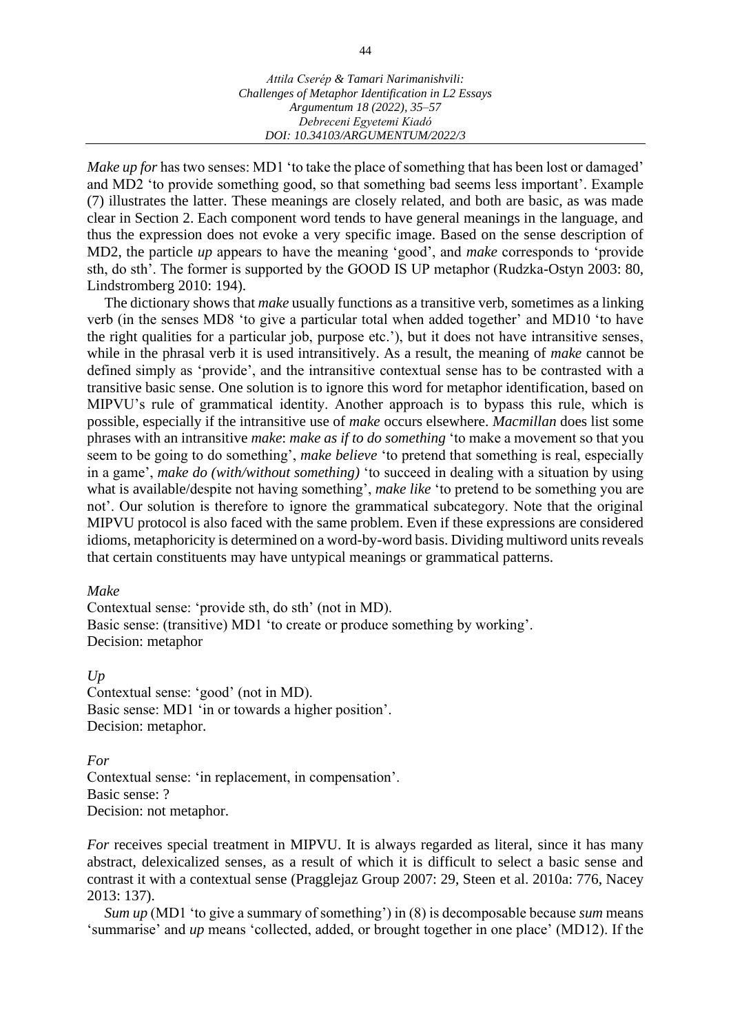*Make up for* has two senses: MD1 'to take the place of something that has been lost or damaged' and MD2 'to provide something good, so that something bad seems less important'. Example (7) illustrates the latter. These meanings are closely related, and both are basic, as was made clear in Section 2. Each component word tends to have general meanings in the language, and thus the expression does not evoke a very specific image. Based on the sense description of MD2, the particle *up* appears to have the meaning 'good', and *make* corresponds to 'provide sth, do sth'. The former is supported by the GOOD IS UP metaphor (Rudzka-Ostyn 2003: 80, Lindstromberg 2010: 194).

The dictionary shows that *make* usually functions as a transitive verb, sometimes as a linking verb (in the senses MD8 'to give a particular total when added together' and MD10 'to have the right qualities for a particular job, purpose etc.'), but it does not have intransitive senses, while in the phrasal verb it is used intransitively. As a result, the meaning of *make* cannot be defined simply as 'provide', and the intransitive contextual sense has to be contrasted with a transitive basic sense. One solution is to ignore this word for metaphor identification, based on MIPVU's rule of grammatical identity. Another approach is to bypass this rule, which is possible, especially if the intransitive use of *make* occurs elsewhere. *Macmillan* does list some phrases with an intransitive *make*: *make as if to do something* 'to make a movement so that you seem to be going to do something', *make believe* 'to pretend that something is real, especially in a game', *make do (with/without something)* 'to succeed in dealing with a situation by using what is available/despite not having something', *make like* 'to pretend to be something you are not'. Our solution is therefore to ignore the grammatical subcategory. Note that the original MIPVU protocol is also faced with the same problem. Even if these expressions are considered idioms, metaphoricity is determined on a word-by-word basis. Dividing multiword units reveals that certain constituents may have untypical meanings or grammatical patterns.

#### *Make*

Contextual sense: 'provide sth, do sth' (not in MD). Basic sense: (transitive) MD1 'to create or produce something by working'. Decision: metaphor

*Up* Contextual sense: 'good' (not in MD). Basic sense: MD1 'in or towards a higher position'. Decision: metaphor.

*For* Contextual sense: 'in replacement, in compensation'. Basic sense: ? Decision: not metaphor.

*For* receives special treatment in MIPVU. It is always regarded as literal, since it has many abstract, delexicalized senses, as a result of which it is difficult to select a basic sense and contrast it with a contextual sense (Pragglejaz Group 2007: 29, Steen et al. 2010a: 776, Nacey 2013: 137).

*Sum up* (MD1 'to give a summary of something') in (8) is decomposable because *sum* means 'summarise' and *up* means 'collected, added, or brought together in one place' (MD12). If the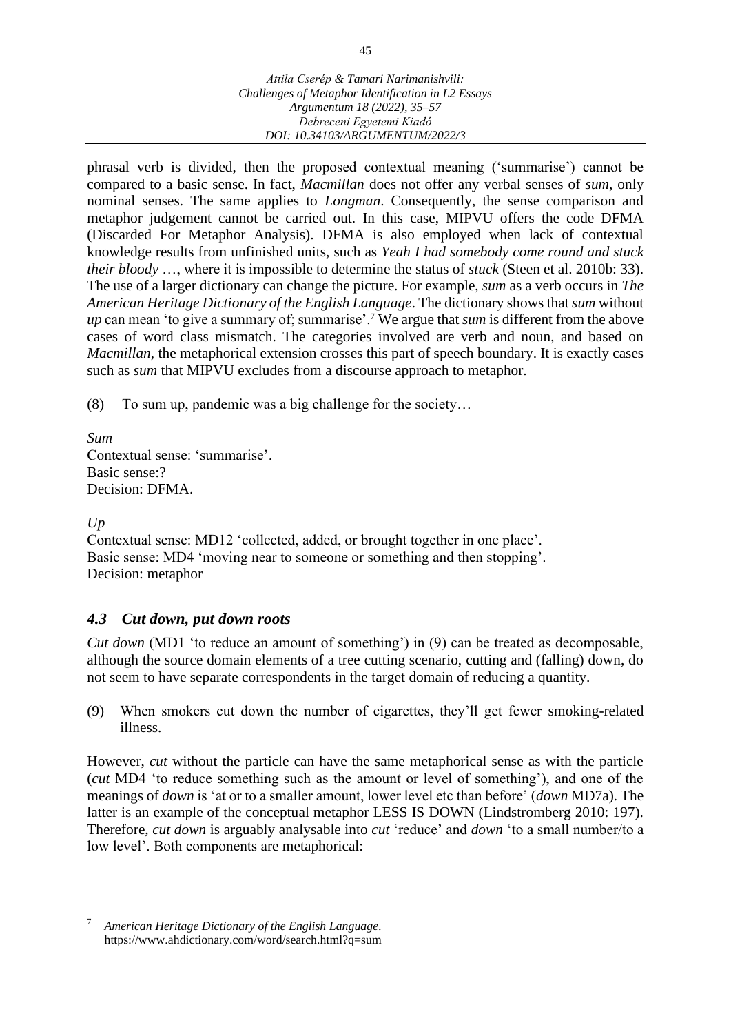phrasal verb is divided, then the proposed contextual meaning ('summarise') cannot be compared to a basic sense. In fact, *Macmillan* does not offer any verbal senses of *sum*, only nominal senses. The same applies to *Longman*. Consequently, the sense comparison and metaphor judgement cannot be carried out. In this case, MIPVU offers the code DFMA (Discarded For Metaphor Analysis). DFMA is also employed when lack of contextual knowledge results from unfinished units, such as *Yeah I had somebody come round and stuck their bloody* …, where it is impossible to determine the status of *stuck* (Steen et al. 2010b: 33). The use of a larger dictionary can change the picture. For example, *sum* as a verb occurs in *The American Heritage Dictionary of the English Language*. The dictionary shows that *sum* without *up* can mean 'to give a summary of; summarise'.<sup>7</sup> We argue that *sum* is different from the above cases of word class mismatch. The categories involved are verb and noun, and based on *Macmillan*, the metaphorical extension crosses this part of speech boundary. It is exactly cases such as *sum* that MIPVU excludes from a discourse approach to metaphor.

(8) To sum up, pandemic was a big challenge for the society…

*Sum* Contextual sense: 'summarise'. Basic sense:? Decision: DFMA.

### *Up*

Contextual sense: MD12 'collected, added, or brought together in one place'. Basic sense: MD4 'moving near to someone or something and then stopping'. Decision: metaphor

# *4.3 Cut down, put down roots*

*Cut down* (MD1 'to reduce an amount of something') in (9) can be treated as decomposable, although the source domain elements of a tree cutting scenario, cutting and (falling) down, do not seem to have separate correspondents in the target domain of reducing a quantity.

(9) When smokers cut down the number of cigarettes, they'll get fewer smoking-related illness.

However, *cut* without the particle can have the same metaphorical sense as with the particle (*cut* MD4 'to reduce something such as the amount or level of something'), and one of the meanings of *down* is 'at or to a smaller amount, lower level etc than before' (*down* MD7a). The latter is an example of the conceptual metaphor LESS IS DOWN (Lindstromberg 2010: 197). Therefore, *cut down* is arguably analysable into *cut* 'reduce' and *down* 'to a small number/to a low level'. Both components are metaphorical:

<sup>7</sup> *American Heritage Dictionary of the English Language.* https://www.ahdictionary.com/word/search.html?q=sum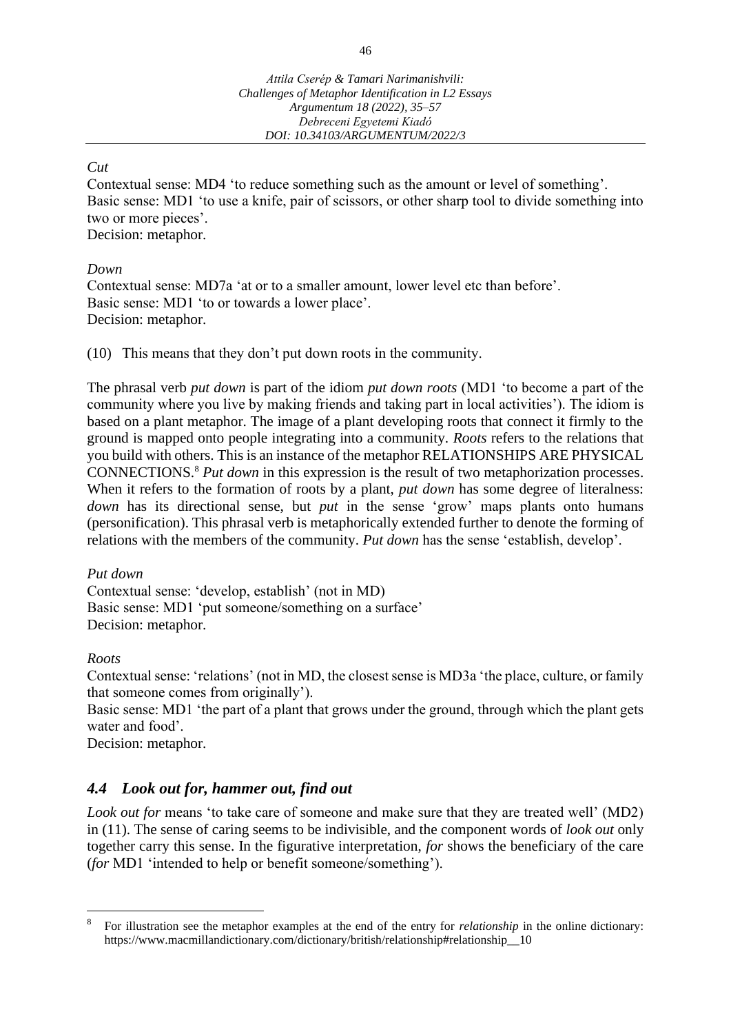### *Cut*

Contextual sense: MD4 'to reduce something such as the amount or level of something'. Basic sense: MD1 'to use a knife, pair of scissors, or other sharp tool to divide something into two or more pieces'. Decision: metaphor.

*Down*

Contextual sense: MD7a 'at or to a smaller amount, lower level etc than before'. Basic sense: MD1 'to or towards a lower place'. Decision: metaphor.

(10) This means that they don't put down roots in the community.

The phrasal verb *put down* is part of the idiom *put down roots* (MD1 'to become a part of the community where you live by making friends and taking part in local activities'). The idiom is based on a plant metaphor. The image of a plant developing roots that connect it firmly to the ground is mapped onto people integrating into a community. *Roots* refers to the relations that you build with others. This is an instance of the metaphor RELATIONSHIPS ARE PHYSICAL CONNECTIONS.<sup>8</sup> *Put down* in this expression is the result of two metaphorization processes. When it refers to the formation of roots by a plant, *put down* has some degree of literalness: *down* has its directional sense, but *put* in the sense 'grow' maps plants onto humans (personification). This phrasal verb is metaphorically extended further to denote the forming of relations with the members of the community. *Put down* has the sense 'establish, develop'.

### *Put down*

Contextual sense: 'develop, establish' (not in MD) Basic sense: MD1 'put someone/something on a surface' Decision: metaphor.

*Roots*

Contextual sense: 'relations' (not in MD, the closest sense is MD3a 'the place, culture, or family that someone comes from originally').

Basic sense: MD1 'the part of a plant that grows under the ground, through which the plant gets water and food'.

Decision: metaphor.

# *4.4 Look out for, hammer out, find out*

*Look out for* means 'to take care of someone and make sure that they are treated well' (MD2) in (11). The sense of caring seems to be indivisible, and the component words of *look out* only together carry this sense. In the figurative interpretation, *for* shows the beneficiary of the care (*for* MD1 'intended to help or benefit someone/something').

<sup>8</sup> For illustration see the metaphor examples at the end of the entry for *relationship* in the online dictionary: https://www.macmillandictionary.com/dictionary/british/relationship#relationship\_\_10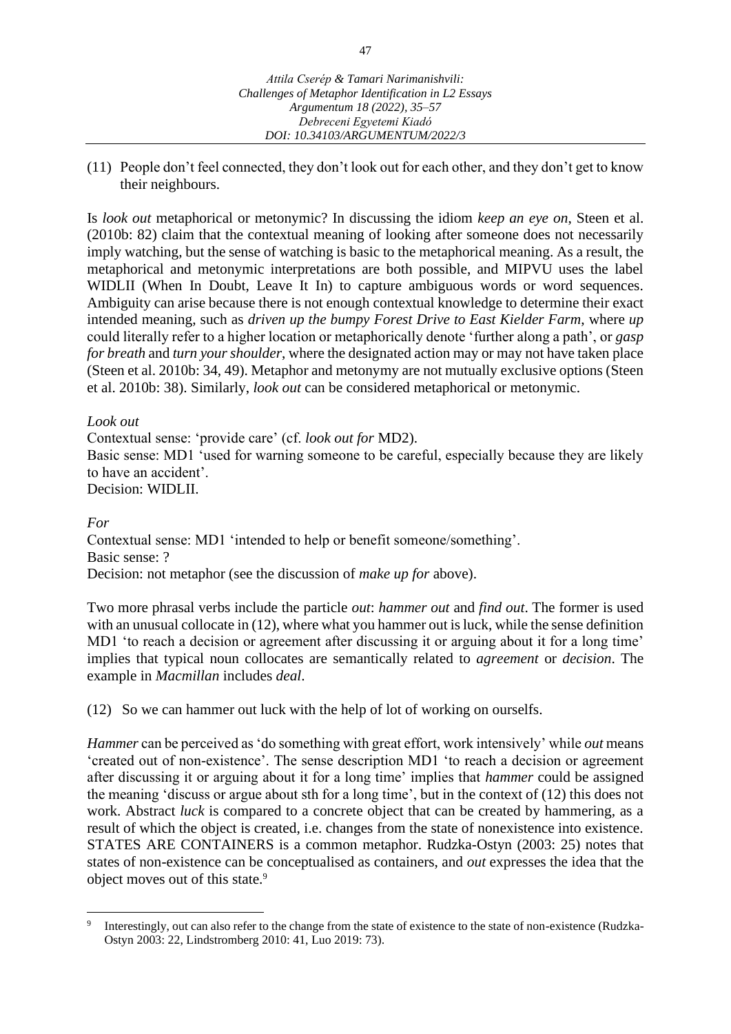(11) People don't feel connected, they don't look out for each other, and they don't get to know their neighbours.

Is *look out* metaphorical or metonymic? In discussing the idiom *keep an eye on*, Steen et al. (2010b: 82) claim that the contextual meaning of looking after someone does not necessarily imply watching, but the sense of watching is basic to the metaphorical meaning. As a result, the metaphorical and metonymic interpretations are both possible, and MIPVU uses the label WIDLII (When In Doubt, Leave It In) to capture ambiguous words or word sequences. Ambiguity can arise because there is not enough contextual knowledge to determine their exact intended meaning, such as *driven up the bumpy Forest Drive to East Kielder Farm*, where *up* could literally refer to a higher location or metaphorically denote 'further along a path', or *gasp for breath* and *turn your shoulder*, where the designated action may or may not have taken place (Steen et al. 2010b: 34, 49). Metaphor and metonymy are not mutually exclusive options (Steen et al. 2010b: 38). Similarly, *look out* can be considered metaphorical or metonymic.

### *Look out*

Contextual sense: 'provide care' (cf. *look out for* MD2). Basic sense: MD1 'used for warning someone to be careful, especially because they are likely to have an accident'. Decision: WIDLII.

#### *For*

Contextual sense: MD1 'intended to help or benefit someone/something'. Basic sense: ? Decision: not metaphor (see the discussion of *make up for* above).

Two more phrasal verbs include the particle *out*: *hammer out* and *find out*. The former is used with an unusual collocate in (12), where what you hammer out is luck, while the sense definition MD1 'to reach a decision or agreement after discussing it or arguing about it for a long time' implies that typical noun collocates are semantically related to *agreement* or *decision*. The example in *Macmillan* includes *deal*.

(12) So we can hammer out luck with the help of lot of working on ourselfs.

*Hammer* can be perceived as 'do something with great effort, work intensively' while *out* means 'created out of non-existence'. The sense description MD1 'to reach a decision or agreement after discussing it or arguing about it for a long time' implies that *hammer* could be assigned the meaning 'discuss or argue about sth for a long time', but in the context of (12) this does not work. Abstract *luck* is compared to a concrete object that can be created by hammering, as a result of which the object is created, i.e. changes from the state of nonexistence into existence. STATES ARE CONTAINERS is a common metaphor. Rudzka-Ostyn (2003: 25) notes that states of non-existence can be conceptualised as containers, and *out* expresses the idea that the object moves out of this state.<sup>9</sup>

<sup>9</sup> Interestingly, out can also refer to the change from the state of existence to the state of non-existence (Rudzka-Ostyn 2003: 22, Lindstromberg 2010: 41, Luo 2019: 73).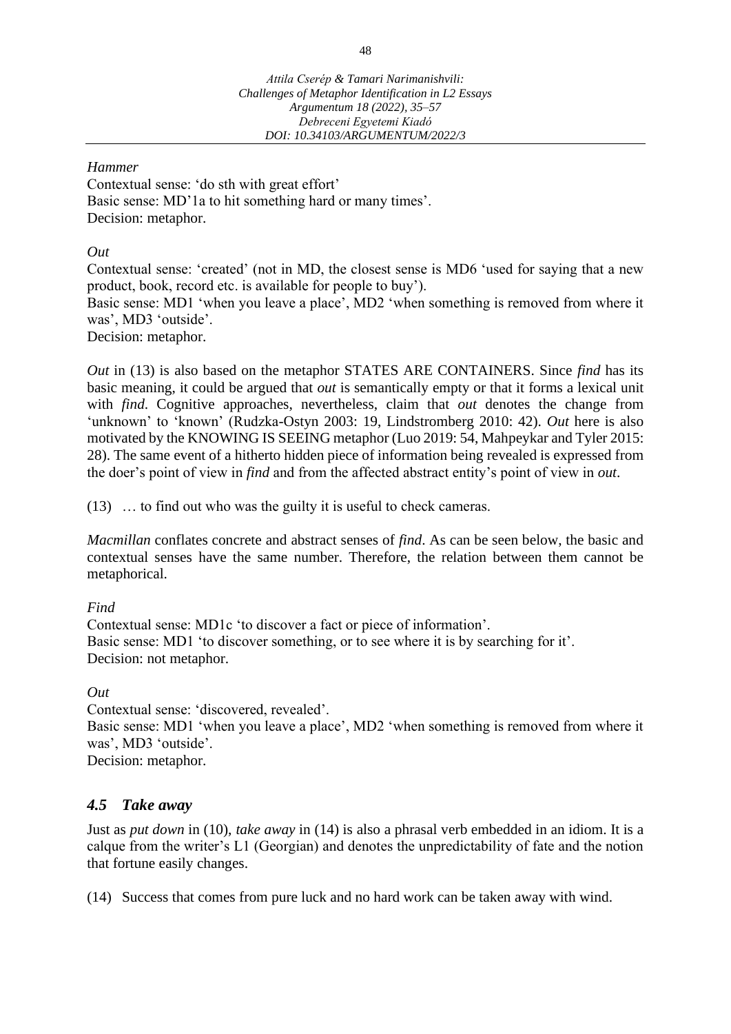### *Hammer*

Contextual sense: 'do sth with great effort' Basic sense: MD'1a to hit something hard or many times'. Decision: metaphor.

### *Out*

Contextual sense: 'created' (not in MD, the closest sense is MD6 'used for saying that a new product, book, record etc. is available for people to buy'). Basic sense: MD1 'when you leave a place', MD2 'when something is removed from where it was', MD3 'outside'. Decision: metaphor.

*Out* in (13) is also based on the metaphor STATES ARE CONTAINERS. Since *find* has its basic meaning, it could be argued that *out* is semantically empty or that it forms a lexical unit with *find*. Cognitive approaches, nevertheless, claim that *out* denotes the change from 'unknown' to 'known' (Rudzka-Ostyn 2003: 19, Lindstromberg 2010: 42). *Out* here is also motivated by the KNOWING IS SEEING metaphor (Luo 2019: 54, Mahpeykar and Tyler 2015: 28). The same event of a hitherto hidden piece of information being revealed is expressed from the doer's point of view in *find* and from the affected abstract entity's point of view in *out*.

(13) … to find out who was the guilty it is useful to check cameras.

*Macmillan* conflates concrete and abstract senses of *find*. As can be seen below, the basic and contextual senses have the same number. Therefore, the relation between them cannot be metaphorical.

# *Find*

Contextual sense: MD1c 'to discover a fact or piece of information'. Basic sense: MD1 'to discover something, or to see where it is by searching for it'. Decision: not metaphor.

# *Out*

Contextual sense: 'discovered, revealed'. Basic sense: MD1 'when you leave a place', MD2 'when something is removed from where it was', MD3 'outside'. Decision: metaphor.

# *4.5 Take away*

Just as *put down* in (10), *take away* in (14) is also a phrasal verb embedded in an idiom. It is a calque from the writer's L1 (Georgian) and denotes the unpredictability of fate and the notion that fortune easily changes.

(14) Success that comes from pure luck and no hard work can be taken away with wind.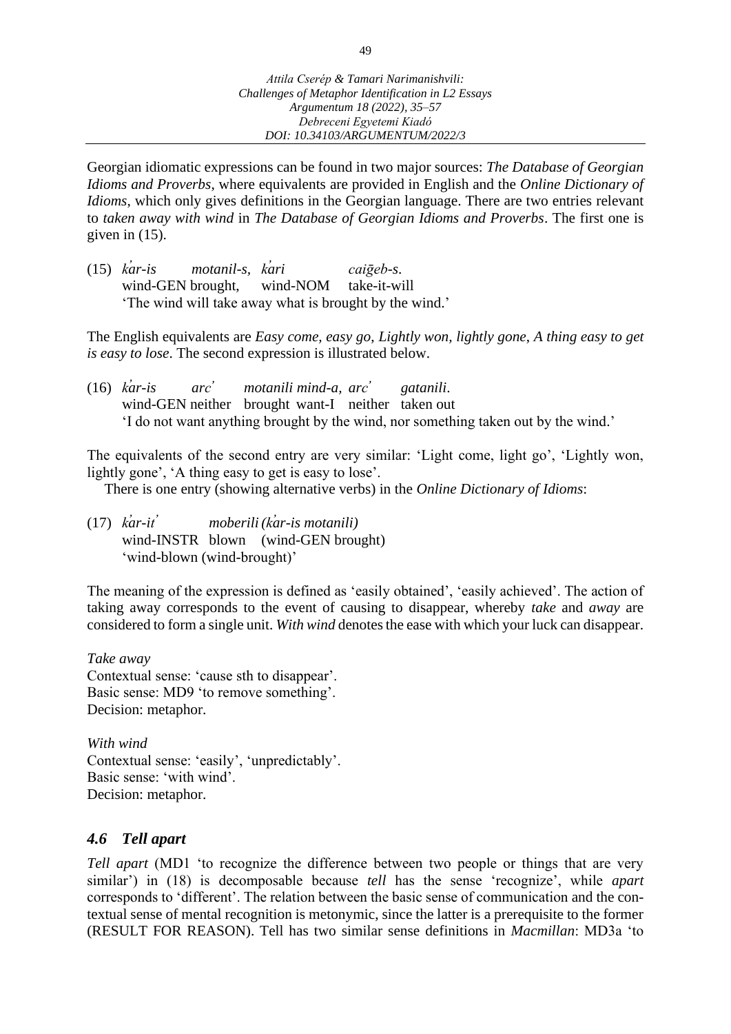Georgian idiomatic expressions can be found in two major sources: *The Database of Georgian Idioms and Proverbs*, where equivalents are provided in English and the *Online Dictionary of Idioms*, which only gives definitions in the Georgian language. There are two entries relevant to *taken away with wind* in *The Database of Georgian Idioms and Proverbs*. The first one is given in (15).

(15) *k̕ar-is motanil-s, k̕ari caiḡeb-s*. wind-GEN brought, wind-NOM take-it-will 'The wind will take away what is brought by the wind.'

The English equivalents are *Easy come, easy go*, *Lightly won, lightly gone*, *A thing easy to get is easy to lose*. The second expression is illustrated below.

(16) *k̕ar-is arc̕ motanili mind-a, arc̕ gatanili*. wind-GEN neither brought want-I neither taken out 'I do not want anything brought by the wind, nor something taken out by the wind.'

The equivalents of the second entry are very similar: 'Light come, light go', 'Lightly won, lightly gone', 'A thing easy to get is easy to lose'.

There is one entry (showing alternative verbs) in the *Online Dictionary of Idioms*:

(17) *k̕ar-it ̕ moberili(k̕ar-is motanili)* wind-INSTR blown (wind-GEN brought) 'wind-blown (wind-brought)'

The meaning of the expression is defined as 'easily obtained', 'easily achieved'. The action of taking away corresponds to the event of causing to disappear, whereby *take* and *away* are considered to form a single unit. *With wind* denotes the ease with which your luck can disappear.

*Take away* Contextual sense: 'cause sth to disappear'. Basic sense: MD9 'to remove something'. Decision: metaphor.

*With wind* Contextual sense: 'easily', 'unpredictably'. Basic sense: 'with wind'. Decision: metaphor.

# *4.6 Tell apart*

*Tell apart* (MD1 'to recognize the difference between two people or things that are very similar') in (18) is decomposable because *tell* has the sense 'recognize', while *apart* corresponds to 'different'. The relation between the basic sense of communication and the contextual sense of mental recognition is metonymic, since the latter is a prerequisite to the former (RESULT FOR REASON). Tell has two similar sense definitions in *Macmillan*: MD3a 'to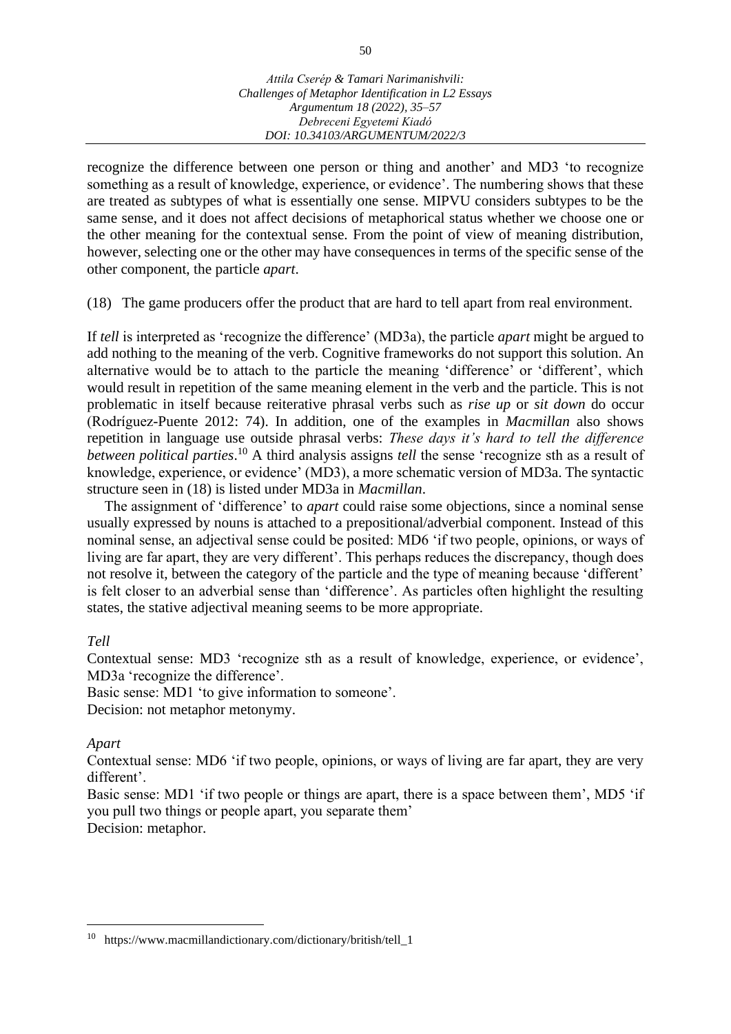recognize the difference between one person or thing and another' and MD3 'to recognize something as a result of knowledge, experience, or evidence'. The numbering shows that these are treated as subtypes of what is essentially one sense. MIPVU considers subtypes to be the same sense, and it does not affect decisions of metaphorical status whether we choose one or the other meaning for the contextual sense. From the point of view of meaning distribution, however, selecting one or the other may have consequences in terms of the specific sense of the other component, the particle *apart*.

(18) The game producers offer the product that are hard to tell apart from real environment.

If *tell* is interpreted as 'recognize the difference' (MD3a), the particle *apart* might be argued to add nothing to the meaning of the verb. Cognitive frameworks do not support this solution. An alternative would be to attach to the particle the meaning 'difference' or 'different', which would result in repetition of the same meaning element in the verb and the particle. This is not problematic in itself because reiterative phrasal verbs such as *rise up* or *sit down* do occur (Rodríguez-Puente 2012: 74). In addition, one of the examples in *Macmillan* also shows repetition in language use outside phrasal verbs: *These days it's hard to tell the difference between political parties*. <sup>10</sup> A third analysis assigns *tell* the sense 'recognize sth as a result of knowledge, experience, or evidence' (MD3), a more schematic version of MD3a. The syntactic structure seen in (18) is listed under MD3a in *Macmillan*.

The assignment of 'difference' to *apart* could raise some objections, since a nominal sense usually expressed by nouns is attached to a prepositional/adverbial component. Instead of this nominal sense, an adjectival sense could be posited: MD6 'if two people, opinions, or ways of living are far apart, they are very different'. This perhaps reduces the discrepancy, though does not resolve it, between the category of the particle and the type of meaning because 'different' is felt closer to an adverbial sense than 'difference'. As particles often highlight the resulting states, the stative adjectival meaning seems to be more appropriate.

#### *Tell*

Contextual sense: MD3 'recognize sth as a result of knowledge, experience, or evidence', MD3a 'recognize the difference'.

Basic sense: MD1 'to give information to someone'.

Decision: not metaphor metonymy.

### *Apart*

Contextual sense: MD6 'if two people, opinions, or ways of living are far apart, they are very different'.

Basic sense: MD1 'if two people or things are apart, there is a space between them', MD5 'if you pull two things or people apart, you separate them'

Decision: metaphor.

<sup>10</sup> https://www.macmillandictionary.com/dictionary/british/tell\_1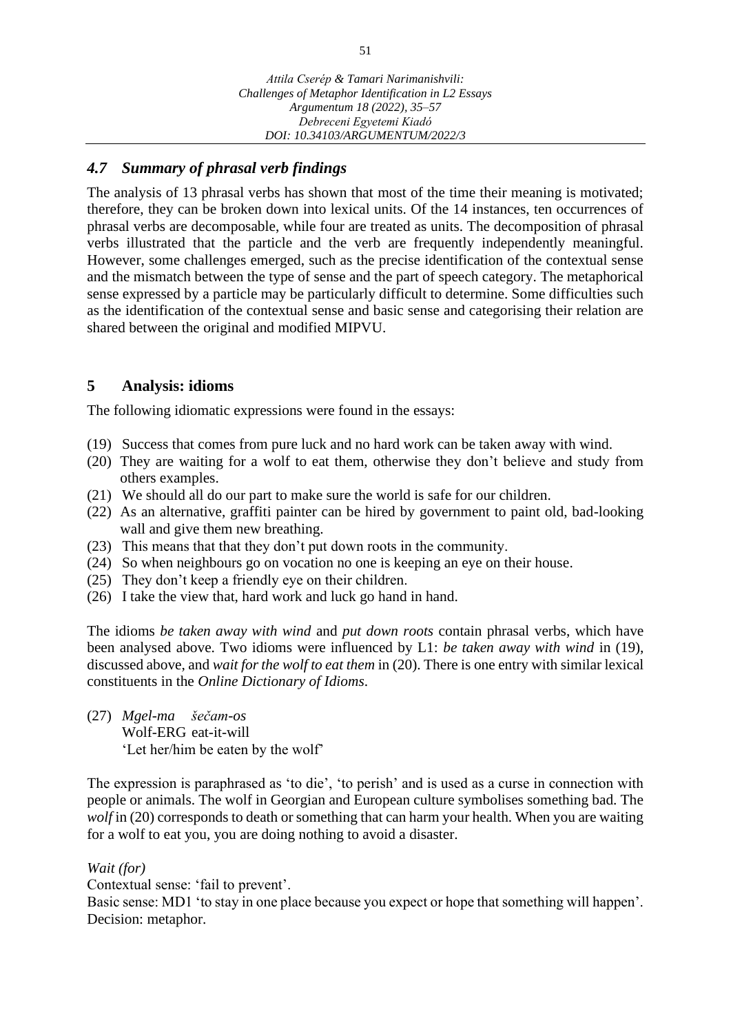# *4.7 Summary of phrasal verb findings*

The analysis of 13 phrasal verbs has shown that most of the time their meaning is motivated; therefore, they can be broken down into lexical units. Of the 14 instances, ten occurrences of phrasal verbs are decomposable, while four are treated as units. The decomposition of phrasal verbs illustrated that the particle and the verb are frequently independently meaningful. However, some challenges emerged, such as the precise identification of the contextual sense and the mismatch between the type of sense and the part of speech category. The metaphorical sense expressed by a particle may be particularly difficult to determine. Some difficulties such as the identification of the contextual sense and basic sense and categorising their relation are shared between the original and modified MIPVU.

# **5 Analysis: idioms**

The following idiomatic expressions were found in the essays:

- (19) Success that comes from pure luck and no hard work can be taken away with wind.
- (20) They are waiting for a wolf to eat them, otherwise they don't believe and study from others examples.
- (21) We should all do our part to make sure the world is safe for our children.
- (22) As an alternative, graffiti painter can be hired by government to paint old, bad-looking wall and give them new breathing.
- (23) This means that that they don't put down roots in the community.
- (24) So when neighbours go on vocation no one is keeping an eye on their house.
- (25) They don't keep a friendly eye on their children.
- (26) I take the view that, hard work and luck go hand in hand.

The idioms *be taken away with wind* and *put down roots* contain phrasal verbs, which have been analysed above. Two idioms were influenced by L1: *be taken away with wind* in (19), discussed above, and *wait for the wolf to eat them* in (20). There is one entry with similar lexical constituents in the *Online Dictionary of Idioms*.

(27) *Mgel-ma šečam-os* Wolf-ERG eat-it-will 'Let her/him be eaten by the wolf'

The expression is paraphrased as 'to die', 'to perish' and is used as a curse in connection with people or animals. The wolf in Georgian and European culture symbolises something bad. The *wolf* in (20) corresponds to death or something that can harm your health. When you are waiting for a wolf to eat you, you are doing nothing to avoid a disaster.

### *Wait (for)*

Contextual sense: 'fail to prevent'.

Basic sense: MD1 'to stay in one place because you expect or hope that something will happen'. Decision: metaphor.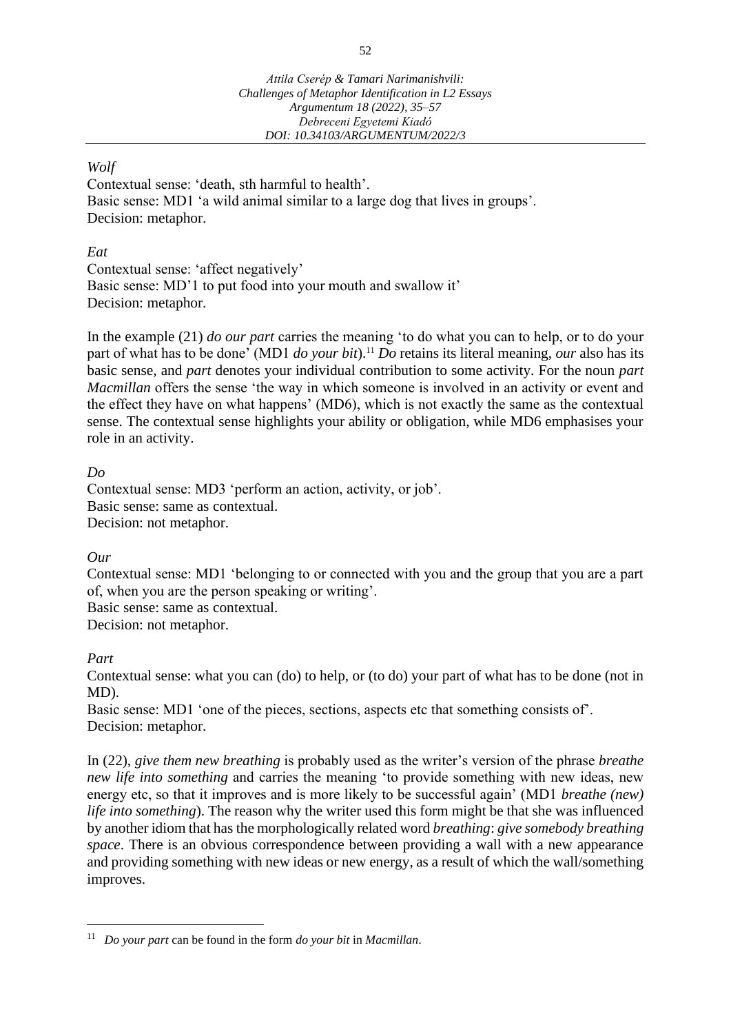### *Wolf*

Contextual sense: 'death, sth harmful to health'. Basic sense: MD1 'a wild animal similar to a large dog that lives in groups'. Decision: metaphor.

### *Eat*

Contextual sense: 'affect negatively' Basic sense: MD'1 to put food into your mouth and swallow it' Decision: metaphor.

In the example (21) *do our part* carries the meaning 'to do what you can to help, or to do your part of what has to be done' (MD1 *do your bit*).<sup>11</sup> *Do* retains its literal meaning, *our* also has its basic sense, and *part* denotes your individual contribution to some activity. For the noun *part Macmillan* offers the sense 'the way in which someone is involved in an activity or event and the effect they have on what happens' (MD6), which is not exactly the same as the contextual sense. The contextual sense highlights your ability or obligation, while MD6 emphasises your role in an activity.

### *Do*

Contextual sense: MD3 'perform an action, activity, or job'. Basic sense: same as contextual. Decision: not metaphor.

### *Our*

Contextual sense: MD1 'belonging to or connected with you and the group that you are a part of, when you are the person speaking or writing'.

Basic sense: same as contextual.

Decision: not metaphor.

### *Part*

Contextual sense: what you can (do) to help, or (to do) your part of what has to be done (not in MD).

Basic sense: MD1 'one of the pieces, sections, aspects etc that something consists of'. Decision: metaphor.

In (22), *give them new breathing* is probably used as the writer's version of the phrase *breathe new life into something* and carries the meaning 'to provide something with new ideas, new energy etc, so that it improves and is more likely to be successful again' (MD1 *breathe (new) life into something*). The reason why the writer used this form might be that she was influenced by another idiom that has the morphologically related word *breathing*: *give somebody breathing space*. There is an obvious correspondence between providing a wall with a new appearance and providing something with new ideas or new energy, as a result of which the wall/something improves.

<sup>11</sup> *Do your part* can be found in the form *do your bit* in *Macmillan*.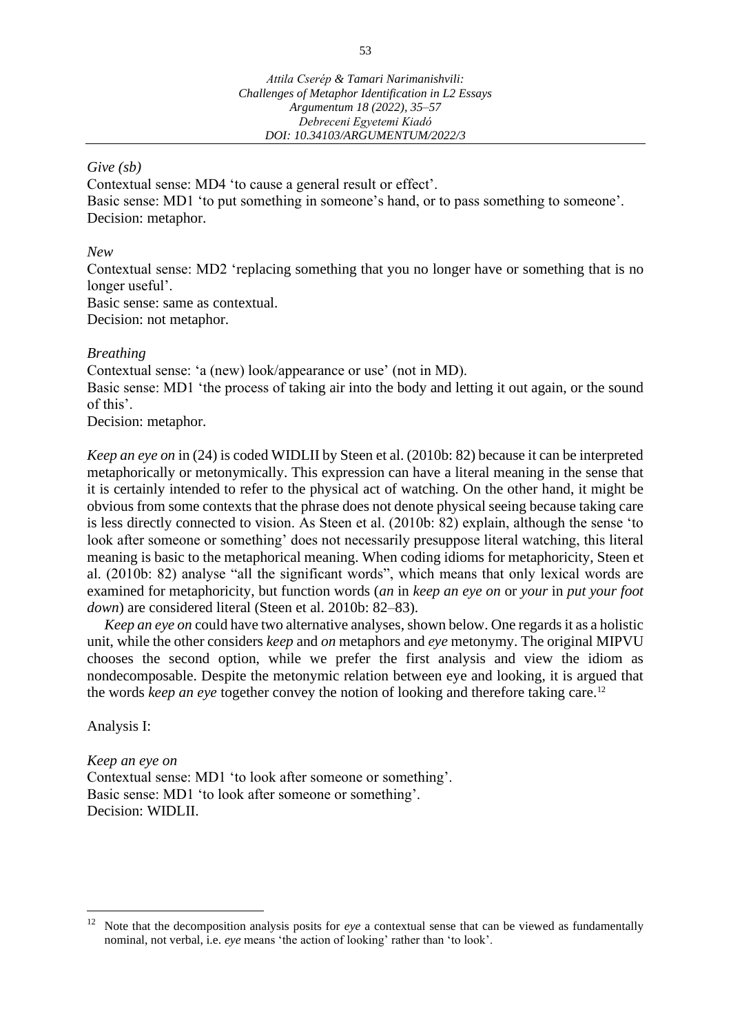#### *Give (sb)*

Contextual sense: MD4 'to cause a general result or effect'. Basic sense: MD1 'to put something in someone's hand, or to pass something to someone'. Decision: metaphor.

#### *New*

Contextual sense: MD2 'replacing something that you no longer have or something that is no longer useful'.

Basic sense: same as contextual.

Decision: not metaphor.

#### *Breathing*

Contextual sense: 'a (new) look/appearance or use' (not in MD).

Basic sense: MD1 'the process of taking air into the body and letting it out again, or the sound of this'.

Decision: metaphor.

*Keep an eye on* in (24) is coded WIDLII by Steen et al. (2010b: 82) because it can be interpreted metaphorically or metonymically. This expression can have a literal meaning in the sense that it is certainly intended to refer to the physical act of watching. On the other hand, it might be obvious from some contexts that the phrase does not denote physical seeing because taking care is less directly connected to vision. As Steen et al. (2010b: 82) explain, although the sense 'to look after someone or something' does not necessarily presuppose literal watching, this literal meaning is basic to the metaphorical meaning. When coding idioms for metaphoricity, Steen et al. (2010b: 82) analyse "all the significant words", which means that only lexical words are examined for metaphoricity, but function words (*an* in *keep an eye on* or *your* in *put your foot down*) are considered literal (Steen et al. 2010b: 82–83).

*Keep an eye on* could have two alternative analyses, shown below. One regards it as a holistic unit, while the other considers *keep* and *on* metaphors and *eye* metonymy. The original MIPVU chooses the second option, while we prefer the first analysis and view the idiom as nondecomposable. Despite the metonymic relation between eye and looking, it is argued that the words *keep an eye* together convey the notion of looking and therefore taking care.<sup>12</sup>

Analysis I:

*Keep an eye on* Contextual sense: MD1 'to look after someone or something'. Basic sense: MD1 'to look after someone or something'. Decision: WIDLII.

<sup>12</sup> Note that the decomposition analysis posits for *eye* a contextual sense that can be viewed as fundamentally nominal, not verbal, i.e. *eye* means 'the action of looking' rather than 'to look'.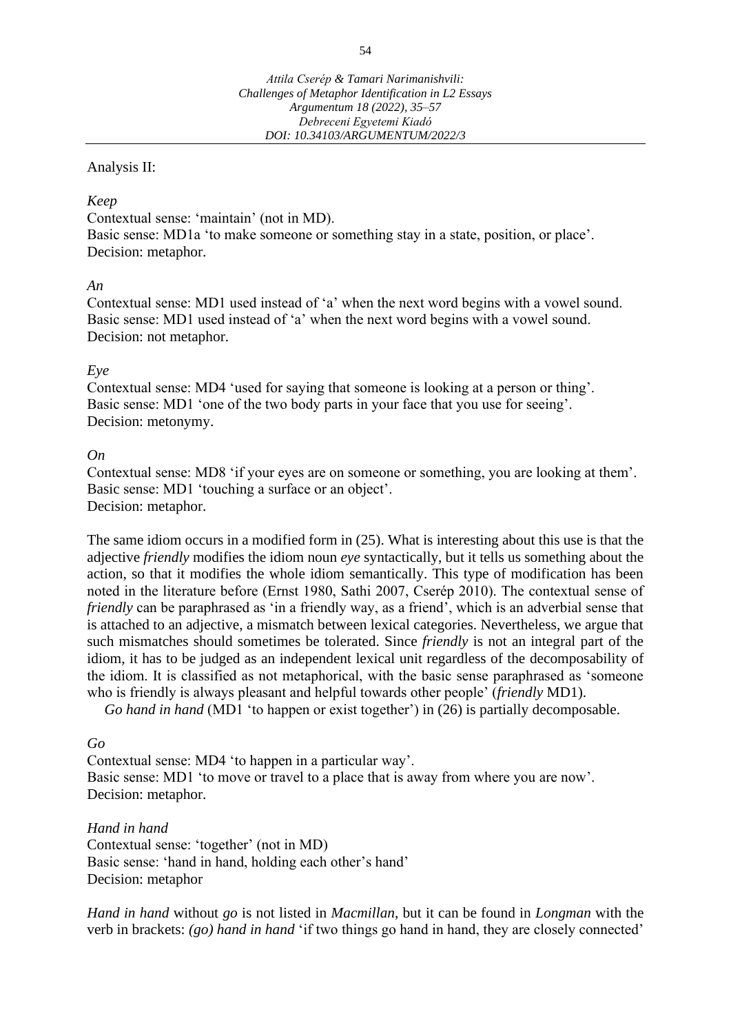### Analysis II:

### *Keep*

Contextual sense: 'maintain' (not in MD). Basic sense: MD1a 'to make someone or something stay in a state, position, or place'. Decision: metaphor.

### *An*

Contextual sense: MD1 used instead of 'a' when the next word begins with a vowel sound. Basic sense: MD1 used instead of 'a' when the next word begins with a vowel sound. Decision: not metaphor.

### *Eye*

Contextual sense: MD4 'used for saying that someone is looking at a person or thing'. Basic sense: MD1 'one of the two body parts in your face that you use for seeing'. Decision: metonymy.

### *On*

Contextual sense: MD8 'if your eyes are on someone or something, you are looking at them'. Basic sense: MD1 'touching a surface or an object'. Decision: metaphor.

The same idiom occurs in a modified form in (25). What is interesting about this use is that the adjective *friendly* modifies the idiom noun *eye* syntactically, but it tells us something about the action, so that it modifies the whole idiom semantically. This type of modification has been noted in the literature before (Ernst 1980, Sathi 2007, Cserép 2010). The contextual sense of *friendly* can be paraphrased as 'in a friendly way, as a friend', which is an adverbial sense that is attached to an adjective, a mismatch between lexical categories. Nevertheless, we argue that such mismatches should sometimes be tolerated. Since *friendly* is not an integral part of the idiom, it has to be judged as an independent lexical unit regardless of the decomposability of the idiom. It is classified as not metaphorical, with the basic sense paraphrased as 'someone who is friendly is always pleasant and helpful towards other people' (*friendly* MD1).

*Go hand in hand* (MD1 'to happen or exist together') in (26) is partially decomposable.

### *Go*

Contextual sense: MD4 'to happen in a particular way'. Basic sense: MD1 'to move or travel to a place that is away from where you are now'. Decision: metaphor.

*Hand in hand* Contextual sense: 'together' (not in MD) Basic sense: 'hand in hand, holding each other's hand' Decision: metaphor

*Hand in hand* without *go* is not listed in *Macmillan*, but it can be found in *Longman* with the verb in brackets: *(go) hand in hand* 'if two things go hand in hand, they are closely connected'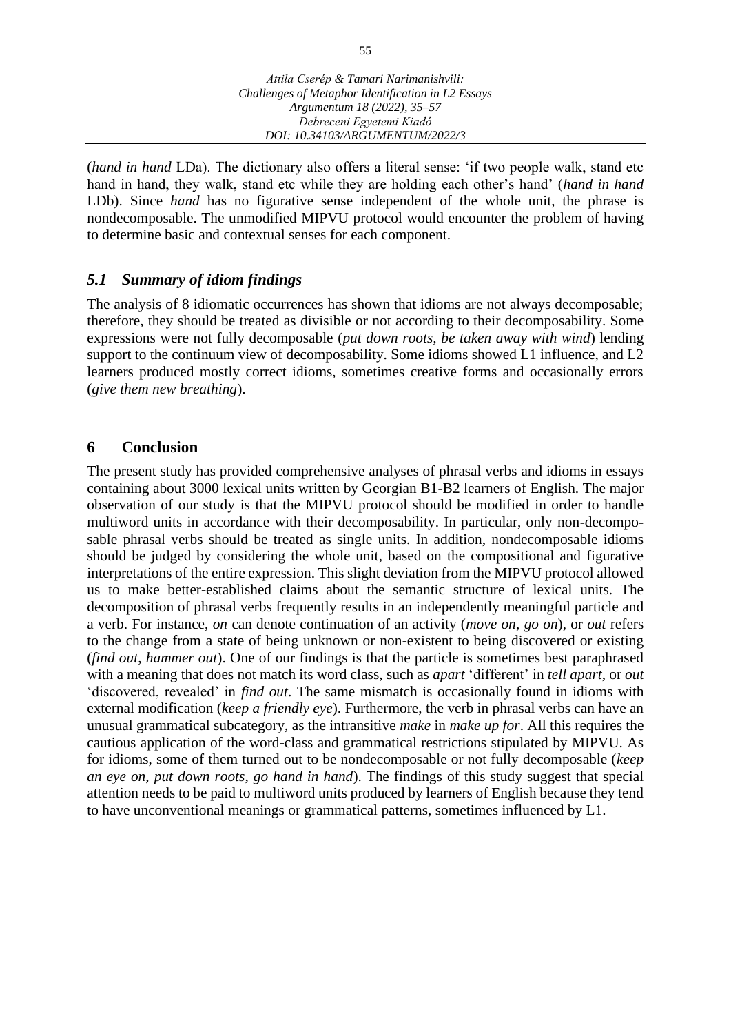(*hand in hand* LDa). The dictionary also offers a literal sense: 'if two people walk, stand etc hand in hand, they walk, stand etc while they are holding each other's hand' (*hand in hand* LDb). Since *hand* has no figurative sense independent of the whole unit, the phrase is nondecomposable. The unmodified MIPVU protocol would encounter the problem of having to determine basic and contextual senses for each component.

# *5.1 Summary of idiom findings*

The analysis of 8 idiomatic occurrences has shown that idioms are not always decomposable; therefore, they should be treated as divisible or not according to their decomposability. Some expressions were not fully decomposable (*put down roots, be taken away with wind*) lending support to the continuum view of decomposability. Some idioms showed L1 influence, and L2 learners produced mostly correct idioms, sometimes creative forms and occasionally errors (*give them new breathing*).

# **6 Conclusion**

The present study has provided comprehensive analyses of phrasal verbs and idioms in essays containing about 3000 lexical units written by Georgian B1-B2 learners of English. The major observation of our study is that the MIPVU protocol should be modified in order to handle multiword units in accordance with their decomposability. In particular, only non-decomposable phrasal verbs should be treated as single units. In addition, nondecomposable idioms should be judged by considering the whole unit, based on the compositional and figurative interpretations of the entire expression. This slight deviation from the MIPVU protocol allowed us to make better-established claims about the semantic structure of lexical units. The decomposition of phrasal verbs frequently results in an independently meaningful particle and a verb. For instance, *on* can denote continuation of an activity (*move on*, *go on*), or *out* refers to the change from a state of being unknown or non-existent to being discovered or existing (*find out*, *hammer out*). One of our findings is that the particle is sometimes best paraphrased with a meaning that does not match its word class, such as *apart* 'different' in *tell apart*, or *out*  'discovered, revealed' in *find out*. The same mismatch is occasionally found in idioms with external modification (*keep a friendly eye*). Furthermore, the verb in phrasal verbs can have an unusual grammatical subcategory, as the intransitive *make* in *make up for*. All this requires the cautious application of the word-class and grammatical restrictions stipulated by MIPVU. As for idioms, some of them turned out to be nondecomposable or not fully decomposable (*keep an eye on*, *put down roots*, *go hand in hand*). The findings of this study suggest that special attention needs to be paid to multiword units produced by learners of English because they tend to have unconventional meanings or grammatical patterns, sometimes influenced by L1.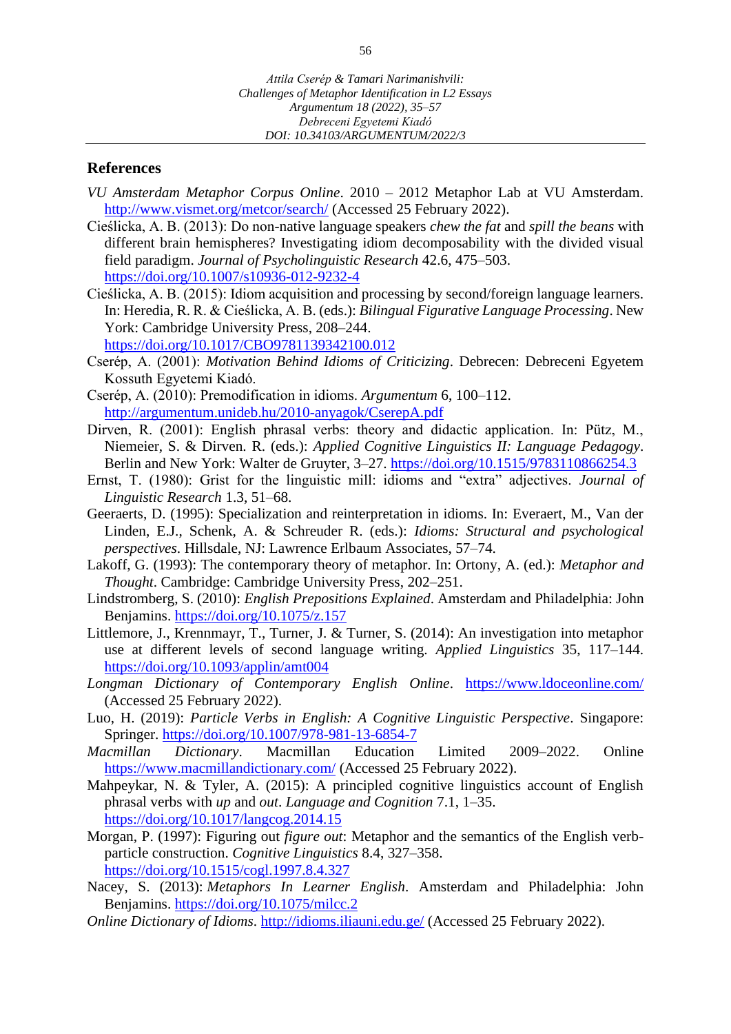### **References**

- *VU Amsterdam Metaphor Corpus Online*. 2010 2012 Metaphor Lab at VU Amsterdam. <http://www.vismet.org/metcor/search/> (Accessed 25 February 2022).
- Cieślicka, A. B. (2013): Do non-native language speakers *chew the fat* and *spill the beans* with different brain hemispheres? Investigating idiom decomposability with the divided visual field paradigm. *Journal of Psycholinguistic Research* 42.6, 475–503. <https://doi.org/10.1007/s10936-012-9232-4>
- Cieślicka, A. B. (2015): Idiom acquisition and processing by second/foreign language learners. In: Heredia, R. R. & Cieślicka, A. B. (eds.): *Bilingual Figurative Language Processing*. New York: Cambridge University Press, 208–244.

<https://doi.org/10.1017/CBO9781139342100.012>

- Cserép, A. (2001): *Motivation Behind Idioms of Criticizing*. Debrecen: Debreceni Egyetem Kossuth Egyetemi Kiadó.
- Cserép, A. (2010): Premodification in idioms. *Argumentum* 6, 100–112. <http://argumentum.unideb.hu/2010-anyagok/CserepA.pdf>
- Dirven, R. (2001): English phrasal verbs: theory and didactic application. In: Pütz, M., Niemeier, S. & Dirven. R. (eds.): *Applied Cognitive Linguistics II: Language Pedagogy*. Berlin and New York: Walter de Gruyter, 3–27. <https://doi.org/10.1515/9783110866254.3>
- Ernst, T. (1980): Grist for the linguistic mill: idioms and "extra" adjectives. *Journal of Linguistic Research* 1.3, 51–68.
- Geeraerts, D. (1995): Specialization and reinterpretation in idioms. In: Everaert, M., Van der Linden, E.J., Schenk, A. & Schreuder R. (eds.): *Idioms: Structural and psychological perspectives*. Hillsdale, NJ: Lawrence Erlbaum Associates, 57–74.
- Lakoff, G. (1993): The contemporary theory of metaphor. In: Ortony, A. (ed.): *Metaphor and Thought*. Cambridge: Cambridge University Press, 202–251.
- Lindstromberg, S. (2010): *English Prepositions Explained*. Amsterdam and Philadelphia: John Benjamins.<https://doi.org/10.1075/z.157>
- Littlemore, J., Krennmayr, T., Turner, J. & Turner, S. (2014): An investigation into metaphor use at different levels of second language writing. *Applied Linguistics* 35, 117–144. <https://doi.org/10.1093/applin/amt004>
- *Longman Dictionary of Contemporary English Online*. <https://www.ldoceonline.com/> (Accessed 25 February 2022).
- Luo, H. (2019): *Particle Verbs in English: A Cognitive Linguistic Perspective*. Singapore: Springer.<https://doi.org/10.1007/978-981-13-6854-7>
- *Macmillan Dictionary*. Macmillan Education Limited 2009–2022. Online <https://www.macmillandictionary.com/> (Accessed 25 February 2022).
- Mahpeykar, N. & Tyler, A. (2015): A principled cognitive linguistics account of English phrasal verbs with *up* and *out*. *Language and Cognition* 7.1, 1–35. <https://doi.org/10.1017/langcog.2014.15>
- Morgan, P. (1997): Figuring out *figure out*: Metaphor and the semantics of the English verbparticle construction. *Cognitive Linguistics* 8.4, 327–358. <https://doi.org/10.1515/cogl.1997.8.4.327>
- Nacey, S. (2013): *Metaphors In Learner English*. Amsterdam and Philadelphia: John Benjamins.<https://doi.org/10.1075/milcc.2>
- *Online Dictionary of Idioms*[.](http://idioms.iliauni.edu.ge/) <http://idioms.iliauni.edu.ge/> (Accessed 25 February 2022).